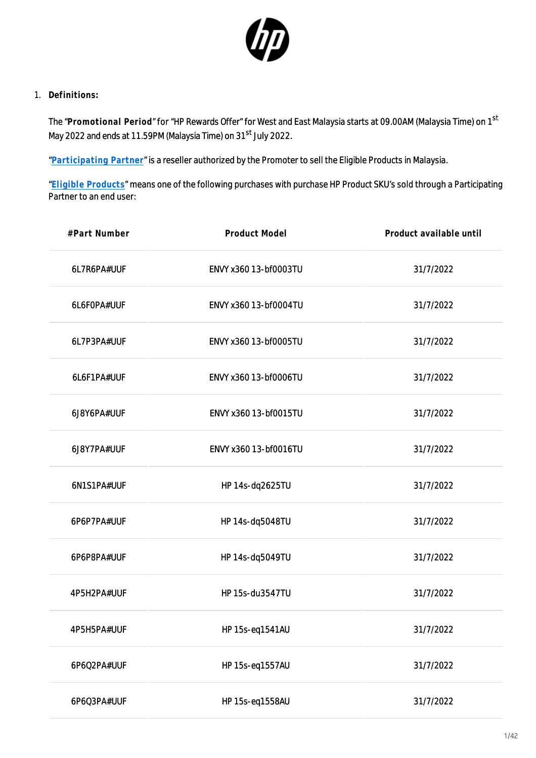

1. **Definitions:**

The "**Promotional Period**" for "HP Rewards Offer" for West and East Malaysia starts at 09.00AM (Malaysia Time) on 1st May 2022 and ends at 11.59PM (Malaysia Time) on 31<sup>st</sup> July 2022.

"**[Participating Partner](https://h41201.www4.hp.com/WMCF.Web/my/en/flex/16351/partnerlist/?simdate=2022-07-31&ocugid=)**" is a reseller authorized by the Promoter to sell the Eligible Products in Malaysia.

"**[Eligible Products](https://h41201.www4.hp.com/WMCF.Web/my/en/flex/16351/productinfo/?simdate=2022-07-31&ocugid=)**" means one of the following purchases with purchase HP Product SKU's sold through a Participating Partner to an end user:

| #Part Number | Product Model         | Product available until |
|--------------|-----------------------|-------------------------|
| 6L7R6PA#UUF  | ENVY x360 13-bf0003TU | 31/7/2022               |
| 6L6F0PA#UUF  | ENVY x360 13-bf0004TU | 31/7/2022               |
| 6L7P3PA#UUF  | ENVY x360 13-bf0005TU | 31/7/2022               |
| 6L6F1PA#UUF  | ENVY x360 13-bf0006TU | 31/7/2022               |
| 6J8Y6PA#UUF  | ENVY x360 13-bf0015TU | 31/7/2022               |
| 6J8Y7PA#UUF  | ENVY x360 13-bf0016TU | 31/7/2022               |
| 6N1S1PA#UUF  | HP 14s-dq2625TU       | 31/7/2022               |
| 6P6P7PA#UUF  | HP 14s-dq5048TU       | 31/7/2022               |
| 6P6P8PA#UUF  | HP 14s-dq5049TU       | 31/7/2022               |
| 4P5H2PA#UUF  | HP 15s-du3547TU       | 31/7/2022               |
| 4P5H5PA#UUF  | HP 15s-eq1541AU       | 31/7/2022               |
| 6P6Q2PA#UUF  | HP 15s-eq1557AU       | 31/7/2022               |
| 6P6Q3PA#UUF  | HP 15s-eq1558AU       | 31/7/2022               |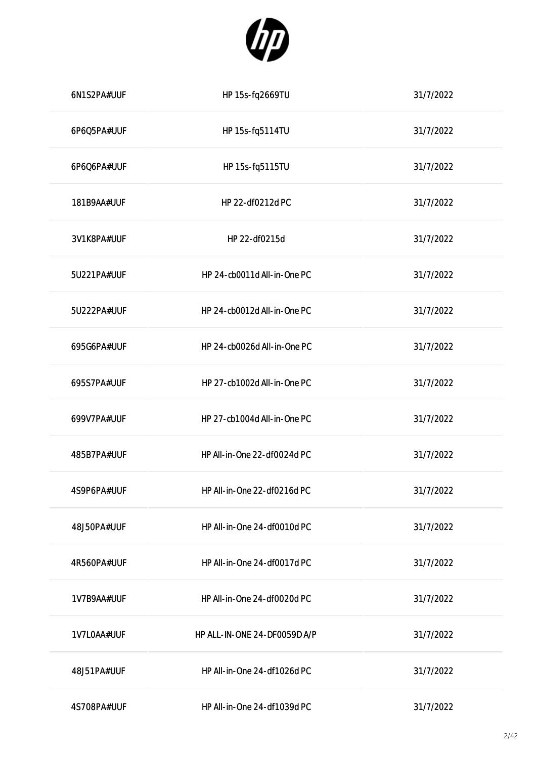

| 6N1S2PA#UUF | HP 15s-fq2669TU              | 31/7/2022 |
|-------------|------------------------------|-----------|
| 6P6Q5PA#UUF | HP 15s-fq5114TU              | 31/7/2022 |
| 6P6Q6PA#UUF | HP 15s-fq5115TU              | 31/7/2022 |
| 181B9AA#UUF | HP 22-df0212d PC             | 31/7/2022 |
| 3V1K8PA#UUF | HP 22-df0215d                | 31/7/2022 |
| 5U221PA#UUF | HP 24-cb0011d All-in-One PC  | 31/7/2022 |
| 5U222PA#UUF | HP 24-cb0012d All-in-One PC  | 31/7/2022 |
| 695G6PA#UUF | HP 24-cb0026d All-in-One PC  | 31/7/2022 |
| 695S7PA#UUF | HP 27-cb1002d All-in-One PC  | 31/7/2022 |
| 699V7PA#UUF | HP 27-cb1004d All-in-One PC  | 31/7/2022 |
| 485B7PA#UUF | HP All-in-One 22-df0024d PC  | 31/7/2022 |
| 4S9P6PA#UUF | HP All-in-One 22-df0216d PC  | 31/7/2022 |
| 48J50PA#UUF | HP All-in-One 24-df0010d PC  | 31/7/2022 |
| 4R560PA#UUF | HP All-in-One 24-df0017d PC  | 31/7/2022 |
| 1V7B9AA#UUF | HP All-in-One 24-df0020d PC  | 31/7/2022 |
| 1V7L0AA#UUF | HP ALL-IN-ONE 24-DF0059D A/P | 31/7/2022 |
| 48J51PA#UUF | HP All-in-One 24-df1026d PC  | 31/7/2022 |
| 4S708PA#UUF | HP All-in-One 24-df1039d PC  | 31/7/2022 |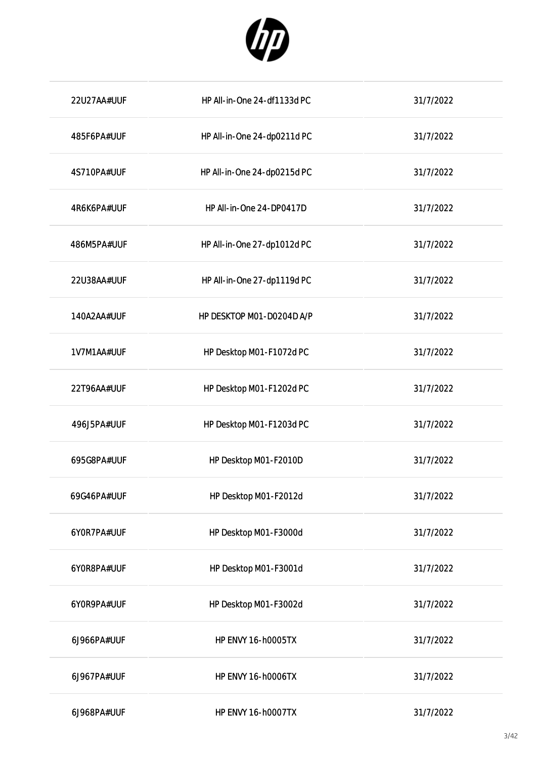

| 22U27AA#UUF | HP All-in-One 24-df1133d PC | 31/7/2022 |
|-------------|-----------------------------|-----------|
| 485F6PA#UUF | HP All-in-One 24-dp0211d PC | 31/7/2022 |
| 4S710PA#UUF | HP All-in-One 24-dp0215d PC | 31/7/2022 |
| 4R6K6PA#UUF | HP All-in-One 24-DP0417D    | 31/7/2022 |
| 486M5PA#UUF | HP All-in-One 27-dp1012d PC | 31/7/2022 |
| 22U38AA#UUF | HP All-in-One 27-dp1119d PC | 31/7/2022 |
| 140A2AA#UUF | HP DESKTOP M01-D0204D A/P   | 31/7/2022 |
| 1V7M1AA#UUF | HP Desktop M01-F1072d PC    | 31/7/2022 |
| 22T96AA#UUF | HP Desktop M01-F1202d PC    | 31/7/2022 |
| 496J5PA#UUF | HP Desktop M01-F1203d PC    | 31/7/2022 |
| 695G8PA#UUF | HP Desktop M01-F2010D       | 31/7/2022 |
| 69G46PA#UUF | HP Desktop M01-F2012d       | 31/7/2022 |
| 6YOR7PA#UUF | HP Desktop M01-F3000d       | 31/7/2022 |
| 6Y0R8PA#UUF | HP Desktop M01-F3001d       | 31/7/2022 |
| 6Y0R9PA#UUF | HP Desktop M01-F3002d       | 31/7/2022 |
| 6J966PA#UUF | <b>HP ENVY 16-h0005TX</b>   | 31/7/2022 |
| 6J967PA#UUF | <b>HP ENVY 16-h0006TX</b>   | 31/7/2022 |
| 6J968PA#UUF | <b>HP ENVY 16-h0007TX</b>   | 31/7/2022 |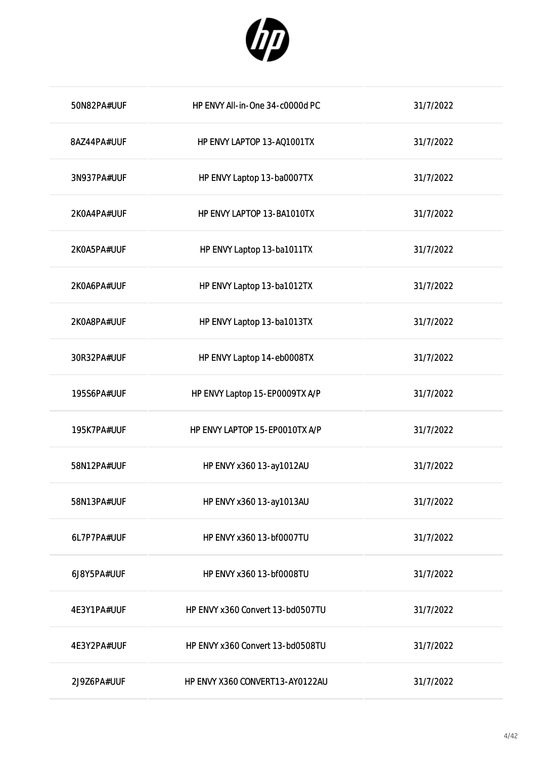

| 50N82PA#UUF | HP ENVY All-in-One 34-c0000d PC  | 31/7/2022 |
|-------------|----------------------------------|-----------|
| 8AZ44PA#UUF | HP ENVY LAPTOP 13-AQ1001TX       | 31/7/2022 |
| 3N937PA#UUF | HP ENVY Laptop 13-ba0007TX       | 31/7/2022 |
| 2K0A4PA#UUF | HP ENVY LAPTOP 13-BA1010TX       | 31/7/2022 |
| 2K0A5PA#UUF | HP ENVY Laptop 13-ba1011TX       | 31/7/2022 |
| 2K0A6PA#UUF | HP ENVY Laptop 13-ba1012TX       | 31/7/2022 |
| 2K0A8PA#UUF | HP ENVY Laptop 13-ba1013TX       | 31/7/2022 |
| 30R32PA#UUF | HP ENVY Laptop 14-eb0008TX       | 31/7/2022 |
| 195S6PA#UUF | HP ENVY Laptop 15-EP0009TX A/P   | 31/7/2022 |
| 195K7PA#UUF | HP ENVY LAPTOP 15-EP0010TX A/P   | 31/7/2022 |
| 58N12PA#UUF | HP ENVY x360 13-ay1012AU         | 31/7/2022 |
| 58N13PA#UUF | HP ENVY x360 13-ay1013AU         | 31/7/2022 |
| 6L7P7PA#UUF | HP ENVY x360 13-bf0007TU         | 31/7/2022 |
| 6J8Y5PA#UUF | HP ENVY x360 13-bf0008TU         | 31/7/2022 |
| 4E3Y1PA#UUF | HP ENVY x360 Convert 13-bd0507TU | 31/7/2022 |
| 4E3Y2PA#UUF | HP ENVY x360 Convert 13-bd0508TU | 31/7/2022 |
| 2J9Z6PA#UUF | HP ENVY X360 CONVERT13-AY0122AU  | 31/7/2022 |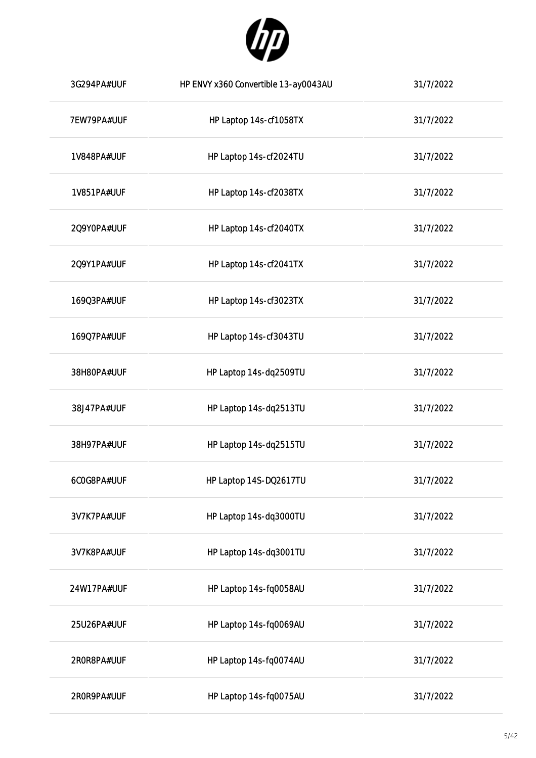

| 3G294PA#UUF | HP ENVY x360 Convertible 13-ay0043AU | 31/7/2022 |
|-------------|--------------------------------------|-----------|
| 7EW79PA#UUF | HP Laptop 14s-cf1058TX               | 31/7/2022 |
| 1V848PA#UUF | HP Laptop 14s-cf2024TU               | 31/7/2022 |
| 1V851PA#UUF | HP Laptop 14s-cf2038TX               | 31/7/2022 |
| 2Q9Y0PA#UUF | HP Laptop 14s-cf2040TX               | 31/7/2022 |
| 2Q9Y1PA#UUF | HP Laptop 14s-cf2041TX               | 31/7/2022 |
| 169Q3PA#UUF | HP Laptop 14s-cf3023TX               | 31/7/2022 |
| 169Q7PA#UUF | HP Laptop 14s-cf3043TU               | 31/7/2022 |
| 38H80PA#UUF | HP Laptop 14s-dq2509TU               | 31/7/2022 |
| 38J47PA#UUF | HP Laptop 14s-dq2513TU               | 31/7/2022 |
| 38H97PA#UUF | HP Laptop 14s-dq2515TU               | 31/7/2022 |
| 6COG8PA#UUF | HP Laptop 14S-DQ2617TU               | 31/7/2022 |
| 3V7K7PA#UUF | HP Laptop 14s-dq3000TU               | 31/7/2022 |
| 3V7K8PA#UUF | HP Laptop 14s-dq3001TU               | 31/7/2022 |
| 24W17PA#UUF | HP Laptop 14s-fq0058AU               | 31/7/2022 |
| 25U26PA#UUF | HP Laptop 14s-fq0069AU               | 31/7/2022 |
| 2R0R8PA#UUF | HP Laptop 14s-fq0074AU               | 31/7/2022 |
| 2R0R9PA#UUF | HP Laptop 14s-fq0075AU               | 31/7/2022 |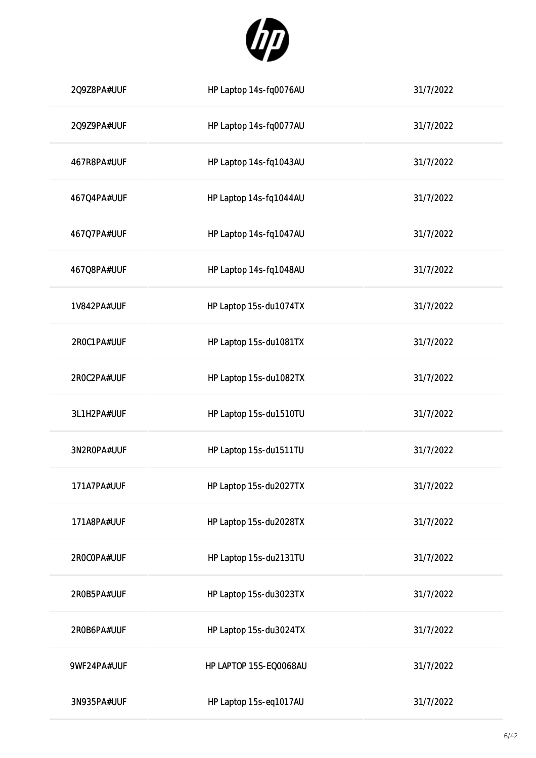

| 2Q9Z8PA#UUF | HP Laptop 14s-fq0076AU | 31/7/2022 |
|-------------|------------------------|-----------|
| 2Q9Z9PA#UUF | HP Laptop 14s-fq0077AU | 31/7/2022 |
| 467R8PA#UUF | HP Laptop 14s-fq1043AU | 31/7/2022 |
| 467Q4PA#UUF | HP Laptop 14s-fq1044AU | 31/7/2022 |
| 467Q7PA#UUF | HP Laptop 14s-fq1047AU | 31/7/2022 |
| 467Q8PA#UUF | HP Laptop 14s-fq1048AU | 31/7/2022 |
| 1V842PA#UUF | HP Laptop 15s-du1074TX | 31/7/2022 |
| 2ROC1PA#UUF | HP Laptop 15s-du1081TX | 31/7/2022 |
| 2R0C2PA#UUF | HP Laptop 15s-du1082TX | 31/7/2022 |
| 3L1H2PA#UUF | HP Laptop 15s-du1510TU | 31/7/2022 |
| 3N2R0PA#UUF | HP Laptop 15s-du1511TU | 31/7/2022 |
| 171A7PA#UUF | HP Laptop 15s-du2027TX | 31/7/2022 |
| 171A8PA#UUF | HP Laptop 15s-du2028TX | 31/7/2022 |
| 2R0COPA#UUF | HP Laptop 15s-du2131TU | 31/7/2022 |
| 2R0B5PA#UUF | HP Laptop 15s-du3023TX | 31/7/2022 |
| 2R0B6PA#UUF | HP Laptop 15s-du3024TX | 31/7/2022 |
| 9WF24PA#UUF | HP LAPTOP 15S-EQ0068AU | 31/7/2022 |
| 3N935PA#UUF | HP Laptop 15s-eq1017AU | 31/7/2022 |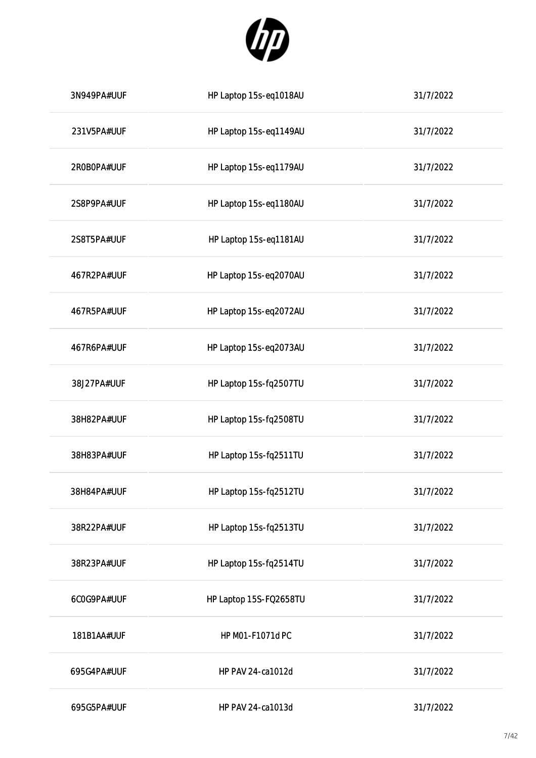

| 3N949PA#UUF | HP Laptop 15s-eq1018AU | 31/7/2022 |
|-------------|------------------------|-----------|
| 231V5PA#UUF | HP Laptop 15s-eq1149AU | 31/7/2022 |
| 2R0B0PA#UUF | HP Laptop 15s-eq1179AU | 31/7/2022 |
| 2S8P9PA#UUF | HP Laptop 15s-eq1180AU | 31/7/2022 |
| 2S8T5PA#UUF | HP Laptop 15s-eq1181AU | 31/7/2022 |
| 467R2PA#UUF | HP Laptop 15s-eq2070AU | 31/7/2022 |
| 467R5PA#UUF | HP Laptop 15s-eq2072AU | 31/7/2022 |
| 467R6PA#UUF | HP Laptop 15s-eq2073AU | 31/7/2022 |
| 38J27PA#UUF | HP Laptop 15s-fq2507TU | 31/7/2022 |
| 38H82PA#UUF | HP Laptop 15s-fq2508TU | 31/7/2022 |
| 38H83PA#UUF | HP Laptop 15s-fq2511TU | 31/7/2022 |
| 38H84PA#UUF | HP Laptop 15s-fq2512TU | 31/7/2022 |
| 38R22PA#UUF | HP Laptop 15s-fq2513TU | 31/7/2022 |
| 38R23PA#UUF | HP Laptop 15s-fq2514TU | 31/7/2022 |
| 6C0G9PA#UUF | HP Laptop 15S-FQ2658TU | 31/7/2022 |
| 181B1AA#UUF | HP M01-F1071d PC       | 31/7/2022 |
| 695G4PA#UUF | HP PAV 24-ca1012d      | 31/7/2022 |
| 695G5PA#UUF | HP PAV 24-ca1013d      | 31/7/2022 |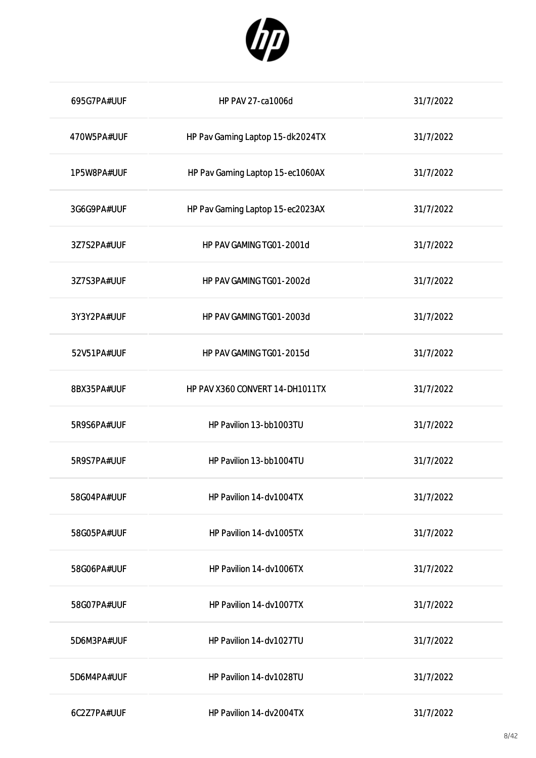

| 695G7PA#UUF | <b>HP PAV 27-ca1006d</b>         | 31/7/2022 |
|-------------|----------------------------------|-----------|
| 470W5PA#UUF | HP Pav Gaming Laptop 15-dk2024TX | 31/7/2022 |
| 1P5W8PA#UUF | HP Pav Gaming Laptop 15-ec1060AX | 31/7/2022 |
| 3G6G9PA#UUF | HP Pav Gaming Laptop 15-ec2023AX | 31/7/2022 |
| 3Z7S2PA#UUF | HP PAV GAMING TG01-2001d         | 31/7/2022 |
| 3Z7S3PA#UUF | HP PAV GAMING TG01-2002d         | 31/7/2022 |
| 3Y3Y2PA#UUF | HP PAV GAMING TG01-2003d         | 31/7/2022 |
| 52V51PA#UUF | HP PAV GAMING TG01-2015d         | 31/7/2022 |
| 8BX35PA#UUF | HP PAV X360 CONVERT 14-DH1011TX  | 31/7/2022 |
| 5R9S6PA#UUF | HP Pavilion 13-bb1003TU          | 31/7/2022 |
| 5R9S7PA#UUF | HP Pavilion 13-bb1004TU          | 31/7/2022 |
| 58G04PA#UUF | HP Pavilion 14-dv1004TX          | 31/7/2022 |
| 58G05PA#UUF | HP Pavilion 14-dv1005TX          | 31/7/2022 |
| 58G06PA#UUF | HP Pavilion 14-dv1006TX          | 31/7/2022 |
| 58G07PA#UUF | HP Pavilion 14-dv1007TX          | 31/7/2022 |
| 5D6M3PA#UUF | HP Pavilion 14-dv1027TU          | 31/7/2022 |
| 5D6M4PA#UUF | HP Pavilion 14-dv1028TU          | 31/7/2022 |
| 6C2Z7PA#UUF | HP Pavilion 14-dv2004TX          | 31/7/2022 |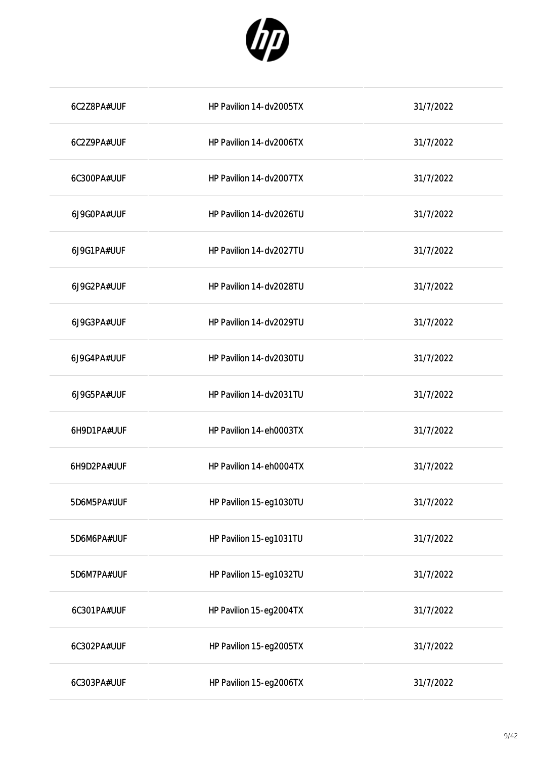

| 6C2Z8PA#UUF | HP Pavilion 14-dv2005TX | 31/7/2022 |
|-------------|-------------------------|-----------|
| 6C2Z9PA#UUF | HP Pavilion 14-dv2006TX | 31/7/2022 |
| 6C300PA#UUF | HP Pavilion 14-dv2007TX | 31/7/2022 |
| 6J9G0PA#UUF | HP Pavilion 14-dv2026TU | 31/7/2022 |
| 6J9G1PA#UUF | HP Pavilion 14-dv2027TU | 31/7/2022 |
| 6J9G2PA#UUF | HP Pavilion 14-dv2028TU | 31/7/2022 |
| 6J9G3PA#UUF | HP Pavilion 14-dv2029TU | 31/7/2022 |
| 6J9G4PA#UUF | HP Pavilion 14-dv2030TU | 31/7/2022 |
| 6J9G5PA#UUF | HP Pavilion 14-dv2031TU | 31/7/2022 |
| 6H9D1PA#UUF | HP Pavilion 14-eh0003TX | 31/7/2022 |
| 6H9D2PA#UUF | HP Pavilion 14-eh0004TX | 31/7/2022 |
| 5D6M5PA#UUF | HP Pavilion 15-eg1030TU | 31/7/2022 |
| 5D6M6PA#UUF | HP Pavilion 15-eg1031TU | 31/7/2022 |
| 5D6M7PA#UUF | HP Pavilion 15-eg1032TU | 31/7/2022 |
| 6C301PA#UUF | HP Pavilion 15-eg2004TX | 31/7/2022 |
| 6C302PA#UUF | HP Pavilion 15-eg2005TX | 31/7/2022 |
| 6C303PA#UUF | HP Pavilion 15-eg2006TX | 31/7/2022 |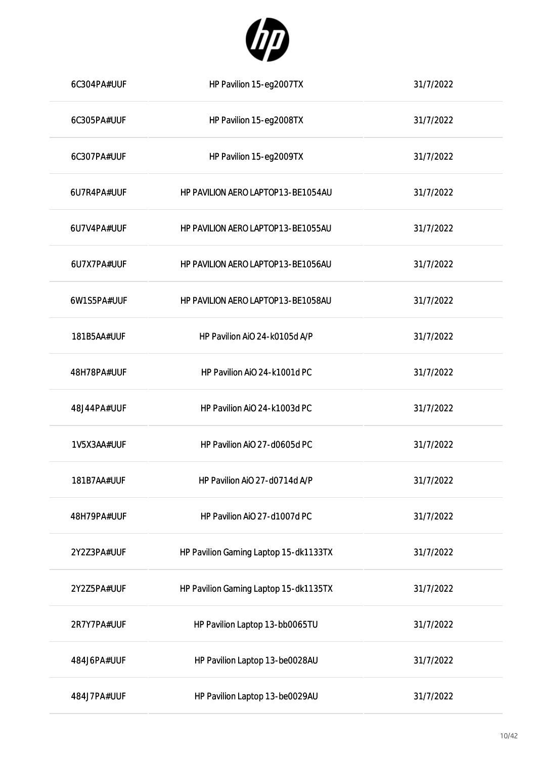

| 6C304PA#UUF | HP Pavilion 15-eg2007TX               | 31/7/2022 |
|-------------|---------------------------------------|-----------|
| 6C305PA#UUF | HP Pavilion 15-eg2008TX               | 31/7/2022 |
| 6C307PA#UUF | HP Pavilion 15-eg2009TX               | 31/7/2022 |
| 6U7R4PA#UUF | HP PAVILION AERO LAPTOP13-BE1054AU    | 31/7/2022 |
| 6U7V4PA#UUF | HP PAVILION AERO LAPTOP13-BE1055AU    | 31/7/2022 |
| 6U7X7PA#UUF | HP PAVILION AERO LAPTOP13-BE1056AU    | 31/7/2022 |
| 6W1S5PA#UUF | HP PAVILION AERO LAPTOP13-BE1058AU    | 31/7/2022 |
| 181B5AA#UUF | HP Pavilion AiO 24-k0105d A/P         | 31/7/2022 |
| 48H78PA#UUF | HP Pavilion AiO 24-k1001d PC          | 31/7/2022 |
| 48J44PA#UUF | HP Pavilion AiO 24-k1003d PC          | 31/7/2022 |
| 1V5X3AA#UUF | HP Pavilion AiO 27-d0605d PC          | 31/7/2022 |
| 181B7AA#UUF | HP Pavilion AiO 27-d0714d A/P         | 31/7/2022 |
| 48H79PA#UUF | HP Pavilion AiO 27-d1007d PC          | 31/7/2022 |
| 2Y2Z3PA#UUF | HP Pavilion Gaming Laptop 15-dk1133TX | 31/7/2022 |
| 2Y2Z5PA#UUF | HP Pavilion Gaming Laptop 15-dk1135TX | 31/7/2022 |
| 2R7Y7PA#UUF | HP Pavilion Laptop 13-bb0065TU        | 31/7/2022 |
| 484J6PA#UUF | HP Pavilion Laptop 13-be0028AU        | 31/7/2022 |
| 484J7PA#UUF | HP Pavilion Laptop 13-be0029AU        | 31/7/2022 |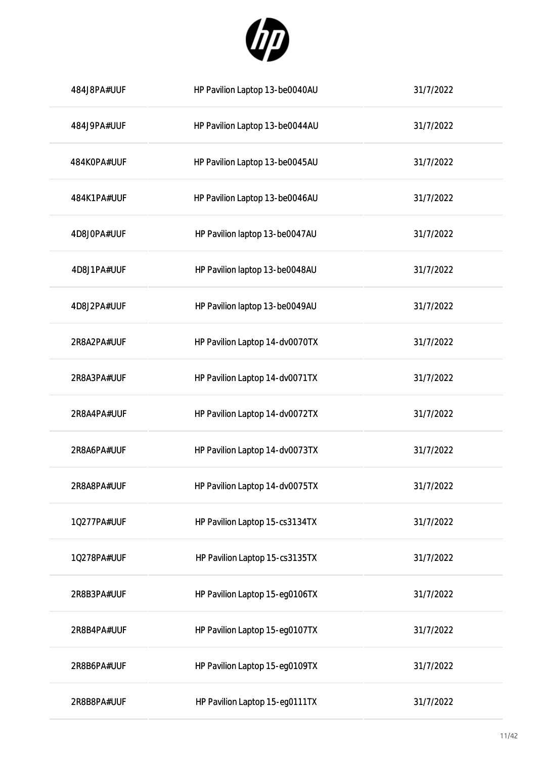

| 484J8PA#UUF | HP Pavilion Laptop 13-be0040AU | 31/7/2022 |
|-------------|--------------------------------|-----------|
| 484J9PA#UUF | HP Pavilion Laptop 13-be0044AU | 31/7/2022 |
| 484K0PA#UUF | HP Pavilion Laptop 13-be0045AU | 31/7/2022 |
| 484K1PA#UUF | HP Pavilion Laptop 13-be0046AU | 31/7/2022 |
| 4D8J0PA#UUF | HP Pavilion laptop 13-be0047AU | 31/7/2022 |
| 4D8J1PA#UUF | HP Pavilion laptop 13-be0048AU | 31/7/2022 |
| 4D8J2PA#UUF | HP Pavilion laptop 13-be0049AU | 31/7/2022 |
| 2R8A2PA#UUF | HP Pavilion Laptop 14-dv0070TX | 31/7/2022 |
| 2R8A3PA#UUF | HP Pavilion Laptop 14-dv0071TX | 31/7/2022 |
| 2R8A4PA#UUF | HP Pavilion Laptop 14-dv0072TX | 31/7/2022 |
| 2R8A6PA#UUF | HP Pavilion Laptop 14-dv0073TX | 31/7/2022 |
| 2R8A8PA#UUF | HP Pavilion Laptop 14-dv0075TX | 31/7/2022 |
| 10277PA#UUF | HP Pavilion Laptop 15-cs3134TX | 31/7/2022 |
| 10278PA#UUF | HP Pavilion Laptop 15-cs3135TX | 31/7/2022 |
| 2R8B3PA#UUF | HP Pavilion Laptop 15-eg0106TX | 31/7/2022 |
| 2R8B4PA#UUF | HP Pavilion Laptop 15-eg0107TX | 31/7/2022 |
| 2R8B6PA#UUF | HP Pavilion Laptop 15-eg0109TX | 31/7/2022 |
| 2R8B8PA#UUF | HP Pavilion Laptop 15-eg0111TX | 31/7/2022 |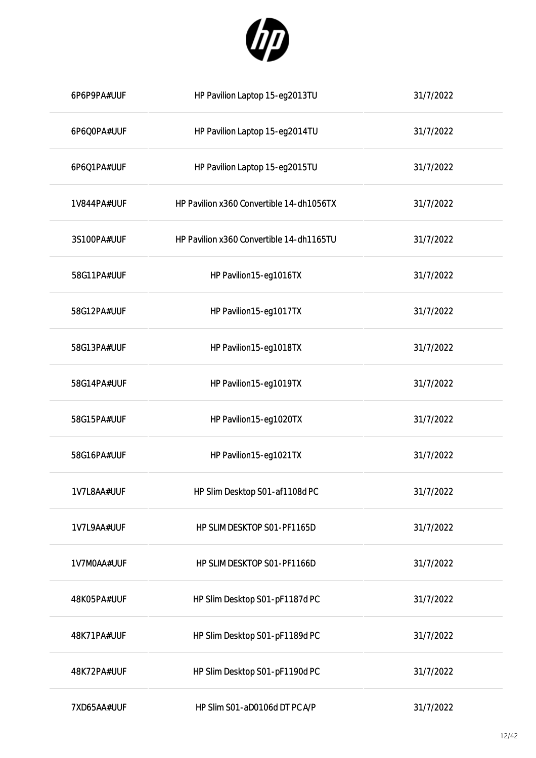

| 6P6P9PA#UUF | HP Pavilion Laptop 15-eg2013TU           | 31/7/2022 |
|-------------|------------------------------------------|-----------|
| 6P6Q0PA#UUF | HP Pavilion Laptop 15-eg2014TU           | 31/7/2022 |
| 6P6Q1PA#UUF | HP Pavilion Laptop 15-eg2015TU           | 31/7/2022 |
| 1V844PA#UUF | HP Pavilion x360 Convertible 14-dh1056TX | 31/7/2022 |
| 3S100PA#UUF | HP Pavilion x360 Convertible 14-dh1165TU | 31/7/2022 |
| 58G11PA#UUF | HP Pavilion15-eg1016TX                   | 31/7/2022 |
| 58G12PA#UUF | HP Pavilion15-eg1017TX                   | 31/7/2022 |
| 58G13PA#UUF | HP Pavilion15-eg1018TX                   | 31/7/2022 |
| 58G14PA#UUF | HP Pavilion15-eg1019TX                   | 31/7/2022 |
| 58G15PA#UUF | HP Pavilion15-eg1020TX                   | 31/7/2022 |
| 58G16PA#UUF | HP Pavilion15-eg1021TX                   | 31/7/2022 |
| 1V7L8AA#UUF | HP Slim Desktop S01-af1108d PC           | 31/7/2022 |
| 1V7L9AA#UUF | HP SLIM DESKTOP S01-PF1165D              | 31/7/2022 |
| 1V7M0AA#UUF | HP SLIM DESKTOP S01-PF1166D              | 31/7/2022 |
| 48K05PA#UUF | HP Slim Desktop S01-pF1187d PC           | 31/7/2022 |
| 48K71PA#UUF | HP Slim Desktop S01-pF1189d PC           | 31/7/2022 |
| 48K72PA#UUF | HP Slim Desktop S01-pF1190d PC           | 31/7/2022 |
| 7XD65AA#UUF | HP Slim S01-aD0106d DT PC A/P            | 31/7/2022 |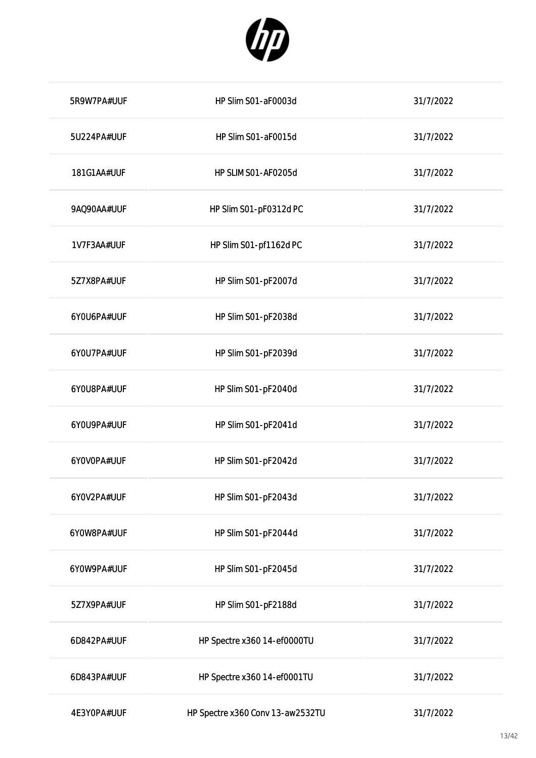

| 5R9W7PA#UUF | HP Slim S01-aF0003d              | 31/7/2022 |
|-------------|----------------------------------|-----------|
| 5U224PA#UUF | HP Slim S01-aF0015d              | 31/7/2022 |
| 181G1AA#UUF | HP SLIM SO1-AF0205d              | 31/7/2022 |
| 9AQ90AA#UUF | HP Slim S01-pF0312d PC           | 31/7/2022 |
| 1V7F3AA#UUF | HP Slim S01-pf1162d PC           | 31/7/2022 |
| 5Z7X8PA#UUF | HP Slim S01-pF2007d              | 31/7/2022 |
| 6YOU6PA#UUF | HP Slim S01-pF2038d              | 31/7/2022 |
| 6YOU7PA#UUF | HP Slim S01-pF2039d              | 31/7/2022 |
| 6YOU8PA#UUF | HP Slim S01-pF2040d              | 31/7/2022 |
| 6YOU9PA#UUF | HP Slim S01-pF2041d              | 31/7/2022 |
| 6YOVOPA#UUF | HP Slim S01-pF2042d              | 31/7/2022 |
| 6Y0V2PA#UUF | HP Slim S01-pF2043d              | 31/7/2022 |
| 6Y0W8PA#UUF | HP Slim S01-pF2044d              | 31/7/2022 |
| 6Y0W9PA#UUF | HP Slim S01-pF2045d              | 31/7/2022 |
| 5Z7X9PA#UUF | HP Slim S01-pF2188d              | 31/7/2022 |
| 6D842PA#UUF | HP Spectre x360 14-ef0000TU      | 31/7/2022 |
| 6D843PA#UUF | HP Spectre x360 14-ef0001TU      | 31/7/2022 |
| 4E3Y0PA#UUF | HP Spectre x360 Conv 13-aw2532TU | 31/7/2022 |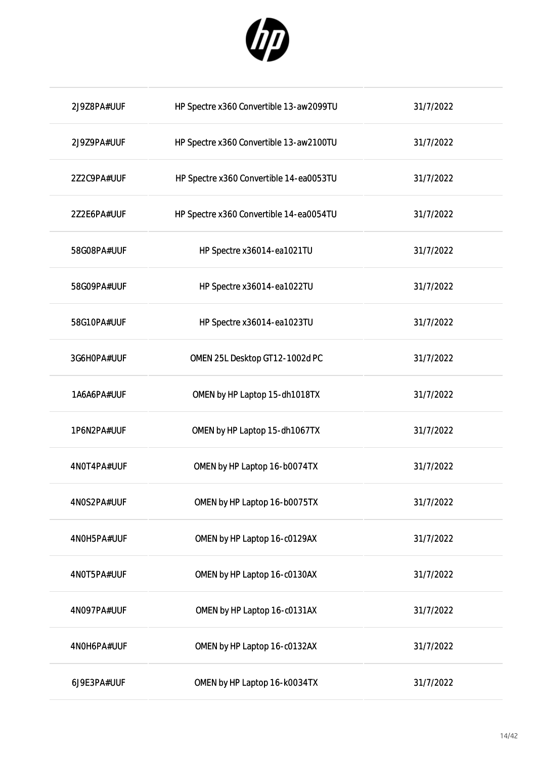

| 2J9Z8PA#UUF | HP Spectre x360 Convertible 13-aw2099TU | 31/7/2022 |
|-------------|-----------------------------------------|-----------|
| 2J9Z9PA#UUF | HP Spectre x360 Convertible 13-aw2100TU | 31/7/2022 |
| 2Z2C9PA#UUF | HP Spectre x360 Convertible 14-ea0053TU | 31/7/2022 |
| 2Z2E6PA#UUF | HP Spectre x360 Convertible 14-ea0054TU | 31/7/2022 |
| 58G08PA#UUF | HP Spectre x36014-ea1021TU              | 31/7/2022 |
| 58G09PA#UUF | HP Spectre x36014-ea1022TU              | 31/7/2022 |
| 58G10PA#UUF | HP Spectre x36014-ea1023TU              | 31/7/2022 |
| 3G6H0PA#UUF | OMEN 25L Desktop GT12-1002d PC          | 31/7/2022 |
| 1A6A6PA#UUF | OMEN by HP Laptop 15-dh1018TX           | 31/7/2022 |
| 1P6N2PA#UUF | OMEN by HP Laptop 15-dh1067TX           | 31/7/2022 |
| 4N0T4PA#UUF | OMEN by HP Laptop 16-b0074TX            | 31/7/2022 |
| 4N0S2PA#UUF | OMEN by HP Laptop 16-b0075TX            | 31/7/2022 |
| 4N0H5PA#UUF | OMEN by HP Laptop 16-c0129AX            | 31/7/2022 |
| 4N0T5PA#UUF | OMEN by HP Laptop 16-c0130AX            | 31/7/2022 |
| 4N097PA#UUF | OMEN by HP Laptop 16-c0131AX            | 31/7/2022 |
| 4N0H6PA#UUF | OMEN by HP Laptop 16-c0132AX            | 31/7/2022 |
| 6J9E3PA#UUF | OMEN by HP Laptop 16-k0034TX            | 31/7/2022 |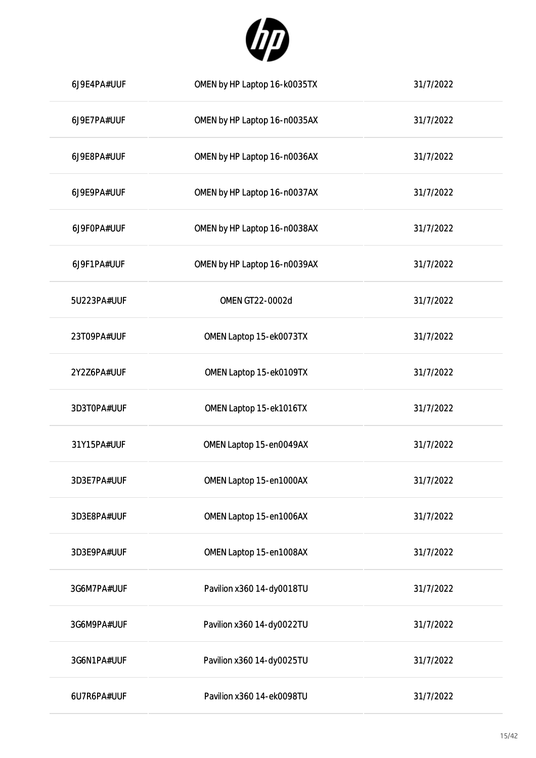

| 6J9E4PA#UUF | OMEN by HP Laptop 16-k0035TX | 31/7/2022 |
|-------------|------------------------------|-----------|
| 6J9E7PA#UUF | OMEN by HP Laptop 16-n0035AX | 31/7/2022 |
| 6J9E8PA#UUF | OMEN by HP Laptop 16-n0036AX | 31/7/2022 |
| 6J9E9PA#UUF | OMEN by HP Laptop 16-n0037AX | 31/7/2022 |
| 6J9F0PA#UUF | OMEN by HP Laptop 16-n0038AX | 31/7/2022 |
| 6J9F1PA#UUF | OMEN by HP Laptop 16-n0039AX | 31/7/2022 |
| 5U223PA#UUF | OMEN GT22-0002d              | 31/7/2022 |
| 23T09PA#UUF | OMEN Laptop 15-ek0073TX      | 31/7/2022 |
| 2Y2Z6PA#UUF | OMEN Laptop 15-ek0109TX      | 31/7/2022 |
| 3D3T0PA#UUF | OMEN Laptop 15-ek1016TX      | 31/7/2022 |
| 31Y15PA#UUF | OMEN Laptop 15-en0049AX      | 31/7/2022 |
| 3D3E7PA#UUF | OMEN Laptop 15-en1000AX      | 31/7/2022 |
| 3D3E8PA#UUF | OMEN Laptop 15-en1006AX      | 31/7/2022 |
| 3D3E9PA#UUF | OMEN Laptop 15-en1008AX      | 31/7/2022 |
| 3G6M7PA#UUF | Pavilion x360 14-dy0018TU    | 31/7/2022 |
| 3G6M9PA#UUF | Pavilion x360 14-dy0022TU    | 31/7/2022 |
| 3G6N1PA#UUF | Pavilion x360 14-dy0025TU    | 31/7/2022 |
| 6U7R6PA#UUF | Pavilion x360 14-ek0098TU    | 31/7/2022 |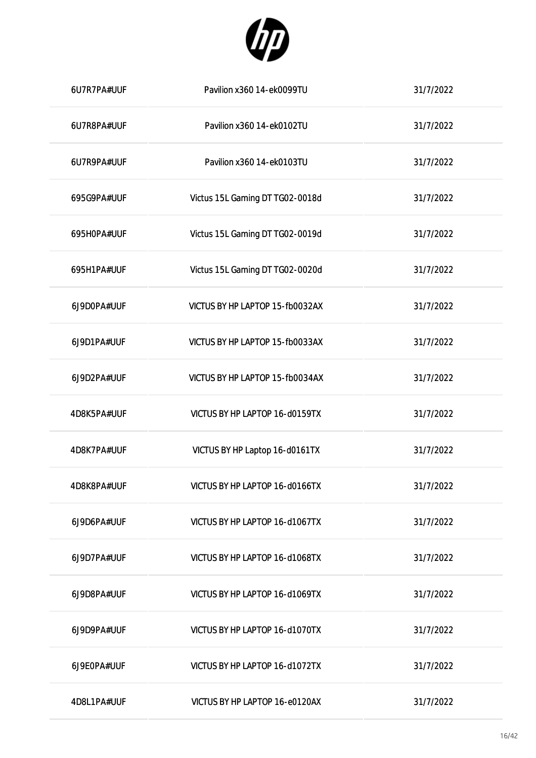

| 6U7R7PA#UUF | Pavilion x360 14-ek0099TU       | 31/7/2022 |
|-------------|---------------------------------|-----------|
| 6U7R8PA#UUF | Pavilion x360 14-ek0102TU       | 31/7/2022 |
| 6U7R9PA#UUF | Pavilion x360 14-ek0103TU       | 31/7/2022 |
| 695G9PA#UUF | Victus 15L Gaming DT TG02-0018d | 31/7/2022 |
| 695H0PA#UUF | Victus 15L Gaming DT TG02-0019d | 31/7/2022 |
| 695H1PA#UUF | Victus 15L Gaming DT TG02-0020d | 31/7/2022 |
| 6J9D0PA#UUF | VICTUS BY HP LAPTOP 15-fb0032AX | 31/7/2022 |
| 6J9D1PA#UUF | VICTUS BY HP LAPTOP 15-fb0033AX | 31/7/2022 |
| 6J9D2PA#UUF | VICTUS BY HP LAPTOP 15-fb0034AX | 31/7/2022 |
| 4D8K5PA#UUF | VICTUS BY HP LAPTOP 16-d0159TX  | 31/7/2022 |
| 4D8K7PA#UUF | VICTUS BY HP Laptop 16-d0161TX  | 31/7/2022 |
| 4D8K8PA#UUF | VICTUS BY HP LAPTOP 16-d0166TX  | 31/7/2022 |
| 6J9D6PA#UUF | VICTUS BY HP LAPTOP 16-d1067TX  | 31/7/2022 |
| 6J9D7PA#UUF | VICTUS BY HP LAPTOP 16-d1068TX  | 31/7/2022 |
| 6J9D8PA#UUF | VICTUS BY HP LAPTOP 16-d1069TX  | 31/7/2022 |
| 6J9D9PA#UUF | VICTUS BY HP LAPTOP 16-d1070TX  | 31/7/2022 |
| 6J9E0PA#UUF | VICTUS BY HP LAPTOP 16-d1072TX  | 31/7/2022 |
| 4D8L1PA#UUF | VICTUS BY HP LAPTOP 16-e0120AX  | 31/7/2022 |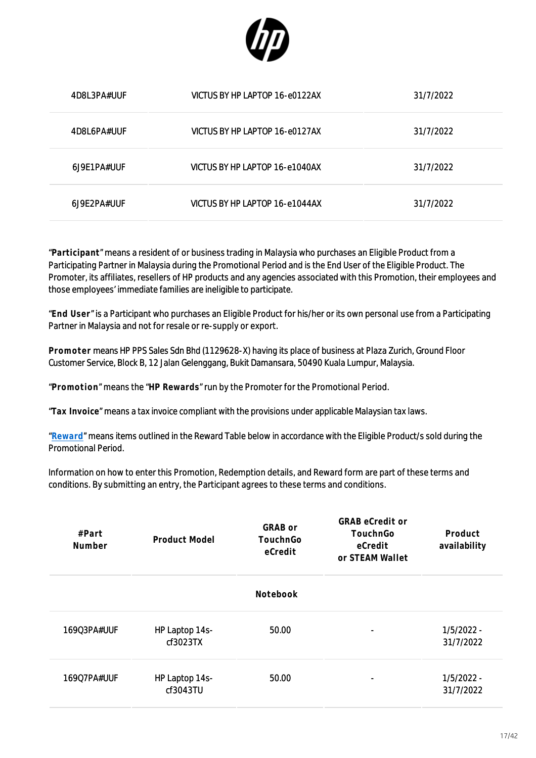

| 4D8L3PA#UUF  | VICTUS BY HP LAPTOP 16-e0122AX | 31/7/2022 |
|--------------|--------------------------------|-----------|
| 4D8L6PA#UUF  | VICTUS BY HP LAPTOP 16-e0127AX | 31/7/2022 |
| 6.19F1PA#UUF | VICTUS BY HP LAPTOP 16-e1040AX | 31/7/2022 |
| 6J9E2PA#UUF  | VICTUS BY HP LAPTOP 16-e1044AX | 31/7/2022 |

"**Participant**" means a resident of or business trading in Malaysia who purchases an Eligible Product from a Participating Partner in Malaysia during the Promotional Period and is the End User of the Eligible Product. The Promoter, its affiliates, resellers of HP products and any agencies associated with this Promotion, their employees and those employees' immediate families are ineligible to participate.

"**End User**" is a Participant who purchases an Eligible Product for his/her or its own personal use from a Participating Partner in Malaysia and not for resale or re-supply or export.

**Promoter** means HP PPS Sales Sdn Bhd (1129628-X) having its place of business at Plaza Zurich, Ground Floor Customer Service, Block B, 12 Jalan Gelenggang, Bukit Damansara, 50490 Kuala Lumpur, Malaysia.

"**Promotion**" means the "**HP Rewards**" run by the Promoter for the Promotional Period.

"**Tax Invoice**" means a tax invoice compliant with the provisions under applicable Malaysian tax laws.

"**[Reward](https://h41201.www4.hp.com/WMCF.Web/my/en/flex/16351/productinfo/?simdate=2022-07-31&ocugid=)**" means items outlined in the Reward Table below in accordance with the Eligible Product/s sold during the Promotional Period.

Information on how to enter this Promotion, Redemption details, and Reward form are part of these terms and conditions. By submitting an entry, the Participant agrees to these terms and conditions.

| #Part<br>Number | Product Model              | GRAB or<br>TouchnGo<br>eCredit | <b>GRAB</b> eCredit or<br>TouchnGo<br>eCredit<br>or STEAM Wallet | Product<br>availability   |
|-----------------|----------------------------|--------------------------------|------------------------------------------------------------------|---------------------------|
|                 |                            | Notebook                       |                                                                  |                           |
| 16903PA#UUF     | HP Laptop 14s-<br>cf3023TX | 50.00                          |                                                                  | $1/5/2022 -$<br>31/7/2022 |
| 16907PA#UUF     | HP Laptop 14s-<br>cf3043TU | 50.00                          | $\overline{\phantom{0}}$                                         | $1/5/2022 -$<br>31/7/2022 |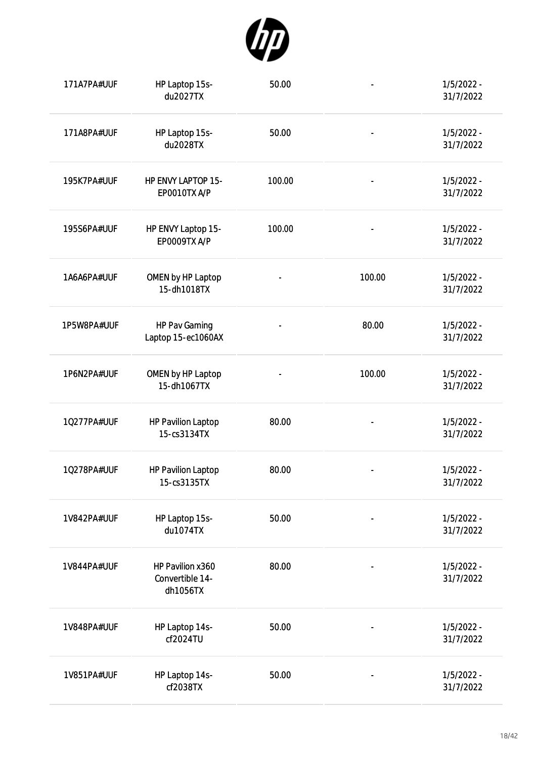

| 171A7PA#UUF | HP Laptop 15s-<br>du2027TX                      | 50.00                    |                              | $1/5/2022 -$<br>31/7/2022 |
|-------------|-------------------------------------------------|--------------------------|------------------------------|---------------------------|
| 171A8PA#UUF | HP Laptop 15s-<br>du2028TX                      | 50.00                    |                              | $1/5/2022 -$<br>31/7/2022 |
| 195K7PA#UUF | HP ENVY LAPTOP 15-<br>EP0010TX A/P              | 100.00                   | $\qquad \qquad \blacksquare$ | $1/5/2022 -$<br>31/7/2022 |
| 195S6PA#UUF | HP ENVY Laptop 15-<br><b>EP0009TX A/P</b>       | 100.00                   | $\overline{\phantom{0}}$     | $1/5/2022 -$<br>31/7/2022 |
| 1A6A6PA#UUF | OMEN by HP Laptop<br>15-dh1018TX                | $\overline{\phantom{0}}$ | 100.00                       | $1/5/2022 -$<br>31/7/2022 |
| 1P5W8PA#UUF | HP Pav Gaming<br>Laptop 15-ec1060AX             |                          | 80.00                        | $1/5/2022 -$<br>31/7/2022 |
| 1P6N2PA#UUF | OMEN by HP Laptop<br>15-dh1067TX                | $\overline{\phantom{0}}$ | 100.00                       | $1/5/2022 -$<br>31/7/2022 |
| 10277PA#UUF | <b>HP Pavilion Laptop</b><br>15-cs3134TX        | 80.00                    |                              | $1/5/2022 -$<br>31/7/2022 |
| 10278PA#UUF | <b>HP Pavilion Laptop</b><br>15-cs3135TX        | 80.00                    |                              | $1/5/2022 -$<br>31/7/2022 |
| 1V842PA#UUF | HP Laptop 15s-<br>du1074TX                      | 50.00                    |                              | $1/5/2022 -$<br>31/7/2022 |
| 1V844PA#UUF | HP Pavilion x360<br>Convertible 14-<br>dh1056TX | 80.00                    |                              | $1/5/2022 -$<br>31/7/2022 |
| 1V848PA#UUF | HP Laptop 14s-<br>cf2024TU                      | 50.00                    |                              | $1/5/2022 -$<br>31/7/2022 |
| 1V851PA#UUF | HP Laptop 14s-<br>cf2038TX                      | 50.00                    |                              | $1/5/2022 -$<br>31/7/2022 |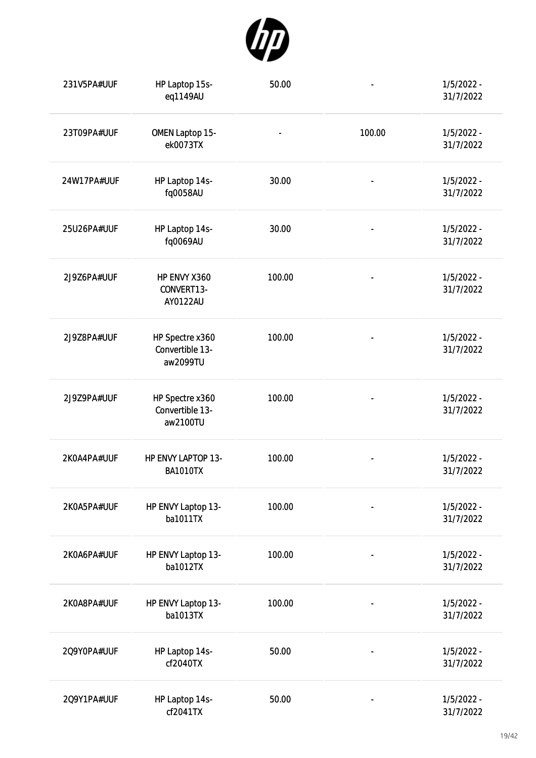

| 231V5PA#UUF | HP Laptop 15s-<br>eq1149AU                     | 50.00                        |                          | $1/5/2022 -$<br>31/7/2022 |
|-------------|------------------------------------------------|------------------------------|--------------------------|---------------------------|
| 23T09PA#UUF | OMEN Laptop 15-<br>ek0073TX                    | $\qquad \qquad \blacksquare$ | 100.00                   | $1/5/2022 -$<br>31/7/2022 |
| 24W17PA#UUF | HP Laptop 14s-<br>fq0058AU                     | 30.00                        | $\overline{\phantom{a}}$ | $1/5/2022 -$<br>31/7/2022 |
| 25U26PA#UUF | HP Laptop 14s-<br>fq0069AU                     | 30.00                        | $\overline{\phantom{0}}$ | $1/5/2022 -$<br>31/7/2022 |
| 2J9Z6PA#UUF | HP ENVY X360<br>CONVERT13-<br>AY0122AU         | 100.00                       | $\overline{\phantom{0}}$ | $1/5/2022 -$<br>31/7/2022 |
| 2J9Z8PA#UUF | HP Spectre x360<br>Convertible 13-<br>aw2099TU | 100.00                       | $\overline{\phantom{0}}$ | $1/5/2022 -$<br>31/7/2022 |
| 2J9Z9PA#UUF | HP Spectre x360<br>Convertible 13-<br>aw2100TU | 100.00                       |                          | $1/5/2022 -$<br>31/7/2022 |
| 2K0A4PA#UUF | HP ENVY LAPTOP 13-<br><b>BA1010TX</b>          | 100.00                       |                          | $1/5/2022 -$<br>31/7/2022 |
| 2K0A5PA#UUF | HP ENVY Laptop 13-<br>ba1011TX                 | 100.00                       |                          | $1/5/2022 -$<br>31/7/2022 |
| 2K0A6PA#UUF | HP ENVY Laptop 13-<br>ba1012TX                 | 100.00                       |                          | $1/5/2022 -$<br>31/7/2022 |
| 2K0A8PA#UUF | HP ENVY Laptop 13-<br>ba1013TX                 | 100.00                       |                          | $1/5/2022 -$<br>31/7/2022 |
| 2Q9Y0PA#UUF | HP Laptop 14s-<br>cf2040TX                     | 50.00                        |                          | $1/5/2022 -$<br>31/7/2022 |
| 2Q9Y1PA#UUF | HP Laptop 14s-<br>cf2041TX                     | 50.00                        |                          | $1/5/2022 -$<br>31/7/2022 |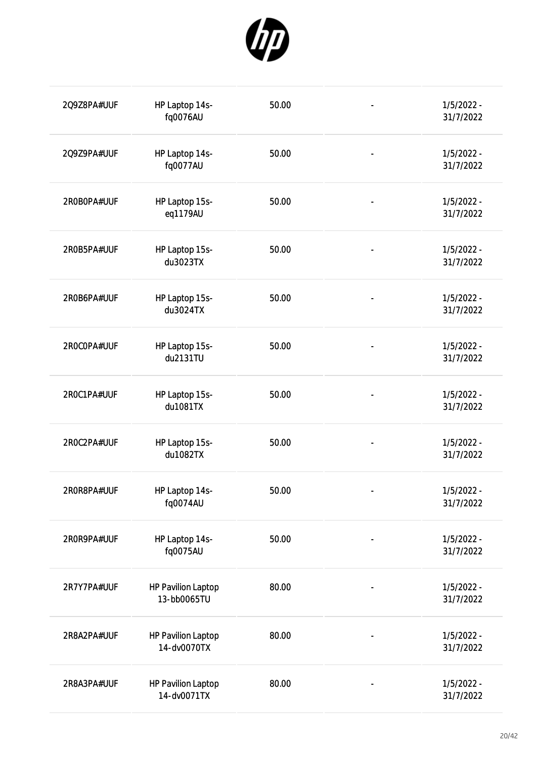

| 2Q9Z8PA#UUF | HP Laptop 14s-<br>fq0076AU               | 50.00 |                              | $1/5/2022 -$<br>31/7/2022 |
|-------------|------------------------------------------|-------|------------------------------|---------------------------|
| 2Q9Z9PA#UUF | HP Laptop 14s-<br>fq0077AU               | 50.00 | $\overline{\phantom{0}}$     | $1/5/2022 -$<br>31/7/2022 |
| 2R0B0PA#UUF | HP Laptop 15s-<br>eq1179AU               | 50.00 |                              | $1/5/2022 -$<br>31/7/2022 |
| 2R0B5PA#UUF | HP Laptop 15s-<br>du3023TX               | 50.00 |                              | $1/5/2022 -$<br>31/7/2022 |
| 2R0B6PA#UUF | HP Laptop 15s-<br>du3024TX               | 50.00 | $\qquad \qquad \blacksquare$ | 1/5/2022 -<br>31/7/2022   |
| 2R0COPA#UUF | HP Laptop 15s-<br>du2131TU               | 50.00 | $\qquad \qquad \blacksquare$ | $1/5/2022 -$<br>31/7/2022 |
| 2R0C1PA#UUF | HP Laptop 15s-<br>du1081TX               | 50.00 | $\overline{\phantom{a}}$     | $1/5/2022 -$<br>31/7/2022 |
| 2R0C2PA#UUF | HP Laptop 15s-<br>du1082TX               | 50.00 | $\qquad \qquad \blacksquare$ | $1/5/2022 -$<br>31/7/2022 |
| 2R0R8PA#UUF | HP Laptop 14s-<br>fq0074AU               | 50.00 |                              | $1/5/2022 -$<br>31/7/2022 |
| 2R0R9PA#UUF | HP Laptop 14s-<br>fq0075AU               | 50.00 |                              | 1/5/2022 -<br>31/7/2022   |
| 2R7Y7PA#UUF | <b>HP Pavilion Laptop</b><br>13-bb0065TU | 80.00 |                              | 1/5/2022 -<br>31/7/2022   |
| 2R8A2PA#UUF | <b>HP Pavilion Laptop</b><br>14-dv0070TX | 80.00 |                              | 1/5/2022 -<br>31/7/2022   |
| 2R8A3PA#UUF | <b>HP Pavilion Laptop</b><br>14-dv0071TX | 80.00 |                              | 1/5/2022 -<br>31/7/2022   |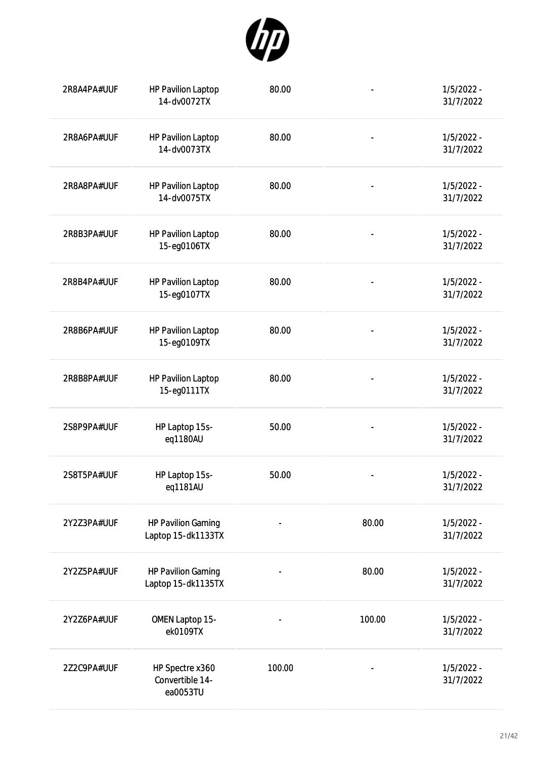

| 2R8A4PA#UUF | <b>HP Pavilion Laptop</b><br>14-dv0072TX        | 80.00  | $\overline{\phantom{a}}$ | $1/5/2022 -$<br>31/7/2022 |
|-------------|-------------------------------------------------|--------|--------------------------|---------------------------|
| 2R8A6PA#UUF | <b>HP Pavilion Laptop</b><br>14-dv0073TX        | 80.00  | $\overline{\phantom{0}}$ | $1/5/2022 -$<br>31/7/2022 |
| 2R8A8PA#UUF | <b>HP Pavilion Laptop</b><br>14-dv0075TX        | 80.00  | $\frac{1}{2}$            | $1/5/2022 -$<br>31/7/2022 |
| 2R8B3PA#UUF | <b>HP Pavilion Laptop</b><br>15-eg0106TX        | 80.00  |                          | $1/5/2022 -$<br>31/7/2022 |
| 2R8B4PA#UUF | <b>HP Pavilion Laptop</b><br>15-eg0107TX        | 80.00  |                          | $1/5/2022 -$<br>31/7/2022 |
| 2R8B6PA#UUF | <b>HP Pavilion Laptop</b><br>15-eg0109TX        | 80.00  |                          | $1/5/2022 -$<br>31/7/2022 |
| 2R8B8PA#UUF | <b>HP Pavilion Laptop</b><br>15-eg0111TX        | 80.00  |                          | $1/5/2022 -$<br>31/7/2022 |
| 2S8P9PA#UUF | HP Laptop 15s-<br>eq1180AU                      | 50.00  |                          | $1/5/2022 -$<br>31/7/2022 |
| 2S8T5PA#UUF | HP Laptop 15s-<br>eq1181AU                      | 50.00  |                          | $1/5/2022 -$<br>31/7/2022 |
| 2Y2Z3PA#UUF | <b>HP Pavilion Gaming</b><br>Laptop 15-dk1133TX |        | 80.00                    | $1/5/2022 -$<br>31/7/2022 |
| 2Y2Z5PA#UUF | <b>HP Pavilion Gaming</b><br>Laptop 15-dk1135TX |        | 80.00                    | $1/5/2022 -$<br>31/7/2022 |
| 2Y2Z6PA#UUF | OMEN Laptop 15-<br>ek0109TX                     |        | 100.00                   | $1/5/2022 -$<br>31/7/2022 |
| 2Z2C9PA#UUF | HP Spectre x360<br>Convertible 14-<br>ea0053TU  | 100.00 |                          | 1/5/2022 -<br>31/7/2022   |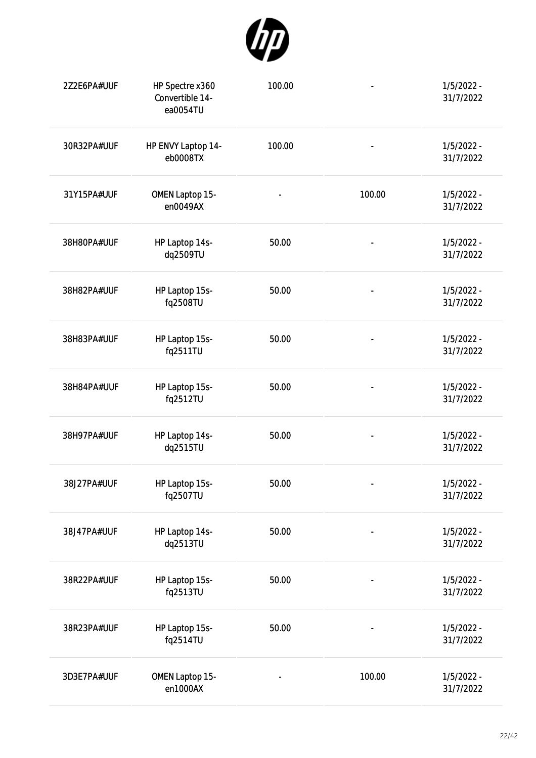

| 2Z2E6PA#UUF | HP Spectre x360<br>Convertible 14-<br>ea0054TU | 100.00 |                              | $1/5/2022 -$<br>31/7/2022 |
|-------------|------------------------------------------------|--------|------------------------------|---------------------------|
| 30R32PA#UUF | HP ENVY Laptop 14-<br>eb0008TX                 | 100.00 |                              | $1/5/2022 -$<br>31/7/2022 |
| 31Y15PA#UUF | <b>OMEN Laptop 15-</b><br>en0049AX             |        | 100.00                       | $1/5/2022 -$<br>31/7/2022 |
| 38H80PA#UUF | HP Laptop 14s-<br>dq2509TU                     | 50.00  |                              | $1/5/2022 -$<br>31/7/2022 |
| 38H82PA#UUF | HP Laptop 15s-<br>fq2508TU                     | 50.00  | $\overline{\phantom{a}}$     | $1/5/2022 -$<br>31/7/2022 |
| 38H83PA#UUF | HP Laptop 15s-<br>fq2511TU                     | 50.00  | $\qquad \qquad \blacksquare$ | $1/5/2022 -$<br>31/7/2022 |
| 38H84PA#UUF | HP Laptop 15s-<br>fq2512TU                     | 50.00  | $\overline{\phantom{0}}$     | $1/5/2022 -$<br>31/7/2022 |
| 38H97PA#UUF | HP Laptop 14s-<br>dq2515TU                     | 50.00  | $\overline{\phantom{a}}$     | $1/5/2022 -$<br>31/7/2022 |
| 38J27PA#UUF | HP Laptop 15s-<br>fq2507TU                     | 50.00  | $\blacksquare$               | 1/5/2022 -<br>31/7/2022   |
| 38J47PA#UUF | HP Laptop 14s-<br>dq2513TU                     | 50.00  | $\qquad \qquad \blacksquare$ | $1/5/2022 -$<br>31/7/2022 |
| 38R22PA#UUF | HP Laptop 15s-<br>fq2513TU                     | 50.00  | $\qquad \qquad \blacksquare$ | $1/5/2022 -$<br>31/7/2022 |
| 38R23PA#UUF | HP Laptop 15s-<br>fq2514TU                     | 50.00  |                              | $1/5/2022 -$<br>31/7/2022 |
| 3D3E7PA#UUF | OMEN Laptop 15-<br>en1000AX                    |        | 100.00                       | $1/5/2022 -$<br>31/7/2022 |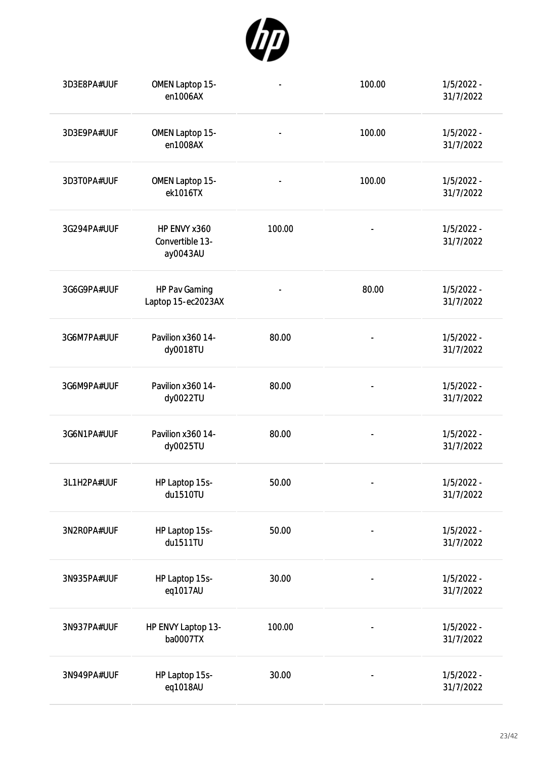

| 3D3E8PA#UUF | OMEN Laptop 15-<br>en1006AX                 | $\qquad \qquad \blacksquare$ | 100.00                   | $1/5/2022 -$<br>31/7/2022 |
|-------------|---------------------------------------------|------------------------------|--------------------------|---------------------------|
| 3D3E9PA#UUF | OMEN Laptop 15-<br>en1008AX                 |                              | 100.00                   | $1/5/2022 -$<br>31/7/2022 |
| 3D3T0PA#UUF | OMEN Laptop 15-<br>ek1016TX                 |                              | 100.00                   | $1/5/2022 -$<br>31/7/2022 |
| 3G294PA#UUF | HP ENVY x360<br>Convertible 13-<br>ay0043AU | 100.00                       |                          | $1/5/2022 -$<br>31/7/2022 |
| 3G6G9PA#UUF | HP Pav Gaming<br>Laptop 15-ec2023AX         | $\overline{\phantom{a}}$     | 80.00                    | $1/5/2022 -$<br>31/7/2022 |
| 3G6M7PA#UUF | Pavilion x360 14-<br>dy0018TU               | 80.00                        |                          | $1/5/2022 -$<br>31/7/2022 |
| 3G6M9PA#UUF | Pavilion x360 14-<br>dy0022TU               | 80.00                        |                          | $1/5/2022 -$<br>31/7/2022 |
| 3G6N1PA#UUF | Pavilion x360 14-<br>dy0025TU               | 80.00                        |                          | $1/5/2022 -$<br>31/7/2022 |
| 3L1H2PA#UUF | HP Laptop 15s-<br>du1510TU                  | 50.00                        | $\overline{\phantom{a}}$ | $1/5/2022 -$<br>31/7/2022 |
| 3N2R0PA#UUF | HP Laptop 15s-<br>du1511TU                  | 50.00                        |                          | $1/5/2022 -$<br>31/7/2022 |
| 3N935PA#UUF | HP Laptop 15s-<br>eq1017AU                  | 30.00                        |                          | $1/5/2022 -$<br>31/7/2022 |
| 3N937PA#UUF | HP ENVY Laptop 13-<br>ba0007TX              | 100.00                       |                          | $1/5/2022 -$<br>31/7/2022 |
| 3N949PA#UUF | HP Laptop 15s-<br>eq1018AU                  | 30.00                        |                          | $1/5/2022 -$<br>31/7/2022 |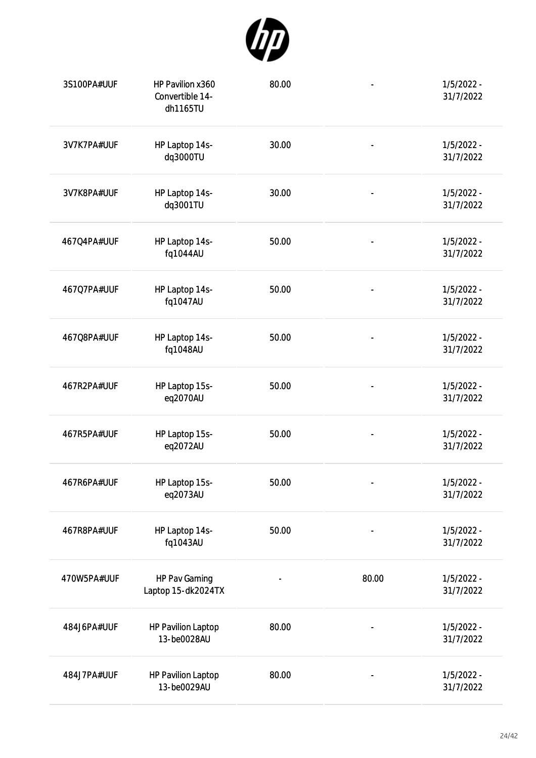

| 3S100PA#UUF | HP Pavilion x360<br>Convertible 14-<br>dh1165TU | 80.00 | $\qquad \qquad \blacksquare$ | $1/5/2022 -$<br>31/7/2022 |
|-------------|-------------------------------------------------|-------|------------------------------|---------------------------|
| 3V7K7PA#UUF | HP Laptop 14s-<br>dq3000TU                      | 30.00 |                              | $1/5/2022 -$<br>31/7/2022 |
| 3V7K8PA#UUF | HP Laptop 14s-<br>dq3001TU                      | 30.00 | $\qquad \qquad \blacksquare$ | $1/5/2022 -$<br>31/7/2022 |
| 467Q4PA#UUF | HP Laptop 14s-<br>fq1044AU                      | 50.00 |                              | $1/5/2022 -$<br>31/7/2022 |
| 467Q7PA#UUF | HP Laptop 14s-<br>fq1047AU                      | 50.00 | $\qquad \qquad \blacksquare$ | $1/5/2022 -$<br>31/7/2022 |
| 467Q8PA#UUF | HP Laptop 14s-<br>fq1048AU                      | 50.00 | $\overline{\phantom{a}}$     | $1/5/2022 -$<br>31/7/2022 |
| 467R2PA#UUF | HP Laptop 15s-<br>eq2070AU                      | 50.00 | $\qquad \qquad \blacksquare$ | $1/5/2022 -$<br>31/7/2022 |
| 467R5PA#UUF | HP Laptop 15s-<br>eq2072AU                      | 50.00 | $\qquad \qquad \blacksquare$ | $1/5/2022 -$<br>31/7/2022 |
| 467R6PA#UUF | HP Laptop 15s-<br>eq2073AU                      | 50.00 | $\blacksquare$               | 1/5/2022 -<br>31/7/2022   |
| 467R8PA#UUF | HP Laptop 14s-<br>fq1043AU                      | 50.00 | $\qquad \qquad \blacksquare$ | $1/5/2022 -$<br>31/7/2022 |
| 470W5PA#UUF | HP Pav Gaming<br>Laptop 15-dk2024TX             |       | 80.00                        | $1/5/2022 -$<br>31/7/2022 |
| 484J6PA#UUF | <b>HP Pavilion Laptop</b><br>13-be0028AU        | 80.00 |                              | $1/5/2022 -$<br>31/7/2022 |
| 484J7PA#UUF | <b>HP Pavilion Laptop</b><br>13-be0029AU        | 80.00 |                              | $1/5/2022 -$<br>31/7/2022 |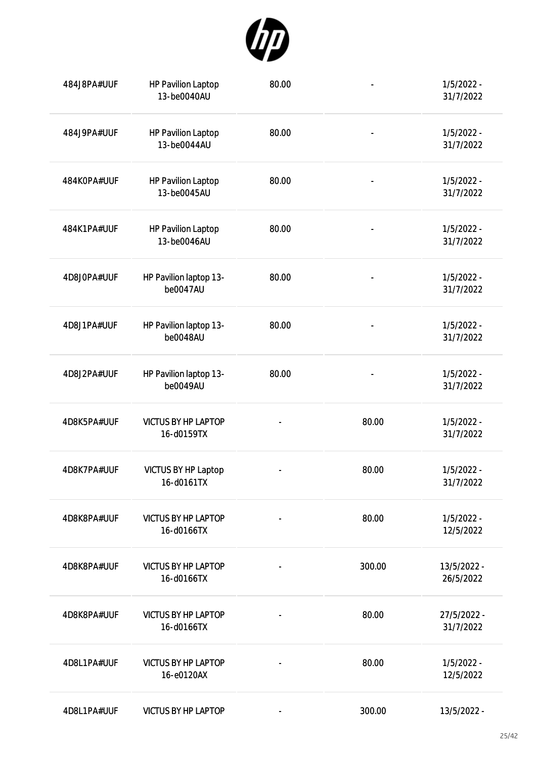

| 484J8PA#UUF | <b>HP Pavilion Laptop</b><br>13-be0040AU | 80.00 | $\qquad \qquad \blacksquare$ | $1/5/2022 -$<br>31/7/2022 |
|-------------|------------------------------------------|-------|------------------------------|---------------------------|
| 484J9PA#UUF | <b>HP Pavilion Laptop</b><br>13-be0044AU | 80.00 | $\overline{\phantom{a}}$     | $1/5/2022 -$<br>31/7/2022 |
| 484K0PA#UUF | <b>HP Pavilion Laptop</b><br>13-be0045AU | 80.00 | $\blacksquare$               | $1/5/2022 -$<br>31/7/2022 |
| 484K1PA#UUF | <b>HP Pavilion Laptop</b><br>13-be0046AU | 80.00 |                              | $1/5/2022 -$<br>31/7/2022 |
| 4D8J0PA#UUF | HP Pavilion laptop 13-<br>be0047AU       | 80.00 | $\overline{\phantom{a}}$     | $1/5/2022 -$<br>31/7/2022 |
| 4D8J1PA#UUF | HP Pavilion laptop 13-<br>be0048AU       | 80.00 |                              | $1/5/2022 -$<br>31/7/2022 |
| 4D8J2PA#UUF | HP Pavilion laptop 13-<br>be0049AU       | 80.00 |                              | $1/5/2022 -$<br>31/7/2022 |
| 4D8K5PA#UUF | <b>VICTUS BY HP LAPTOP</b><br>16-d0159TX |       | 80.00                        | $1/5/2022 -$<br>31/7/2022 |
| 4D8K7PA#UUF | VICTUS BY HP Laptop<br>16-d0161TX        |       | 80.00                        | $1/5/2022 -$<br>31/7/2022 |
| 4D8K8PA#UUF | <b>VICTUS BY HP LAPTOP</b><br>16-d0166TX |       | 80.00                        | $1/5/2022 -$<br>12/5/2022 |
| 4D8K8PA#UUF | <b>VICTUS BY HP LAPTOP</b><br>16-d0166TX |       | 300.00                       | 13/5/2022 -<br>26/5/2022  |
| 4D8K8PA#UUF | <b>VICTUS BY HP LAPTOP</b><br>16-d0166TX |       | 80.00                        | 27/5/2022 -<br>31/7/2022  |
| 4D8L1PA#UUF | <b>VICTUS BY HP LAPTOP</b><br>16-e0120AX |       | 80.00                        | $1/5/2022 -$<br>12/5/2022 |
| 4D8L1PA#UUF | <b>VICTUS BY HP LAPTOP</b>               |       | 300.00                       | 13/5/2022 -               |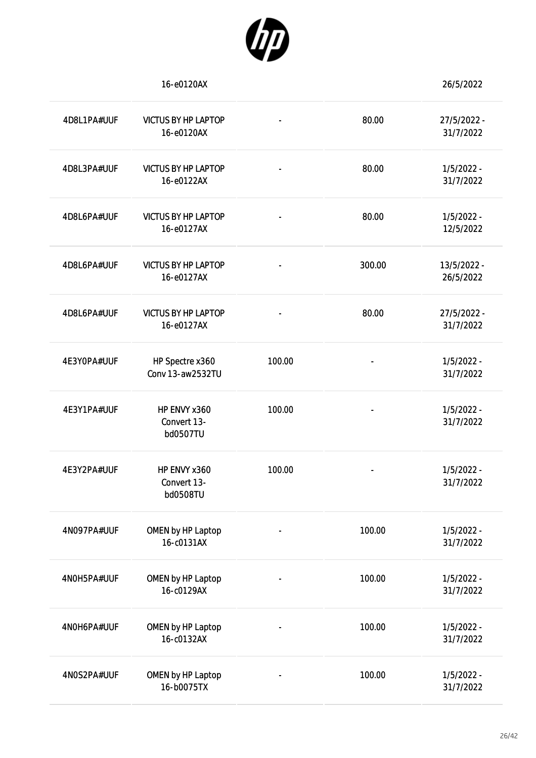

|             | 16-e0120AX                               |                          |                          | 26/5/2022                 |
|-------------|------------------------------------------|--------------------------|--------------------------|---------------------------|
| 4D8L1PA#UUF | <b>VICTUS BY HP LAPTOP</b><br>16-e0120AX | ۰                        | 80.00                    | 27/5/2022 -<br>31/7/2022  |
| 4D8L3PA#UUF | <b>VICTUS BY HP LAPTOP</b><br>16-e0122AX | $\overline{\phantom{0}}$ | 80.00                    | $1/5/2022 -$<br>31/7/2022 |
| 4D8L6PA#UUF | <b>VICTUS BY HP LAPTOP</b><br>16-e0127AX |                          | 80.00                    | $1/5/2022 -$<br>12/5/2022 |
| 4D8L6PA#UUF | <b>VICTUS BY HP LAPTOP</b><br>16-e0127AX | $\overline{\phantom{0}}$ | 300.00                   | 13/5/2022 -<br>26/5/2022  |
| 4D8L6PA#UUF | <b>VICTUS BY HP LAPTOP</b><br>16-e0127AX |                          | 80.00                    | 27/5/2022 -<br>31/7/2022  |
| 4E3Y0PA#UUF | HP Spectre x360<br>Conv 13-aw2532TU      | 100.00                   |                          | $1/5/2022 -$<br>31/7/2022 |
| 4E3Y1PA#UUF | HP ENVY x360<br>Convert 13-<br>bd0507TU  | 100.00                   |                          | $1/5/2022 -$<br>31/7/2022 |
| 4E3Y2PA#UUF | HP ENVY x360<br>Convert 13-<br>bd0508TU  | 100.00                   | $\overline{\phantom{a}}$ | $1/5/2022 -$<br>31/7/2022 |
| 4N097PA#UUF | OMEN by HP Laptop<br>16-c0131AX          | -                        | 100.00                   | $1/5/2022 -$<br>31/7/2022 |
| 4N0H5PA#UUF | OMEN by HP Laptop<br>16-c0129AX          |                          | 100.00                   | $1/5/2022 -$<br>31/7/2022 |
| 4N0H6PA#UUF | OMEN by HP Laptop<br>16-c0132AX          |                          | 100.00                   | $1/5/2022 -$<br>31/7/2022 |
| 4N0S2PA#UUF | OMEN by HP Laptop<br>16-b0075TX          |                          | 100.00                   | $1/5/2022 -$<br>31/7/2022 |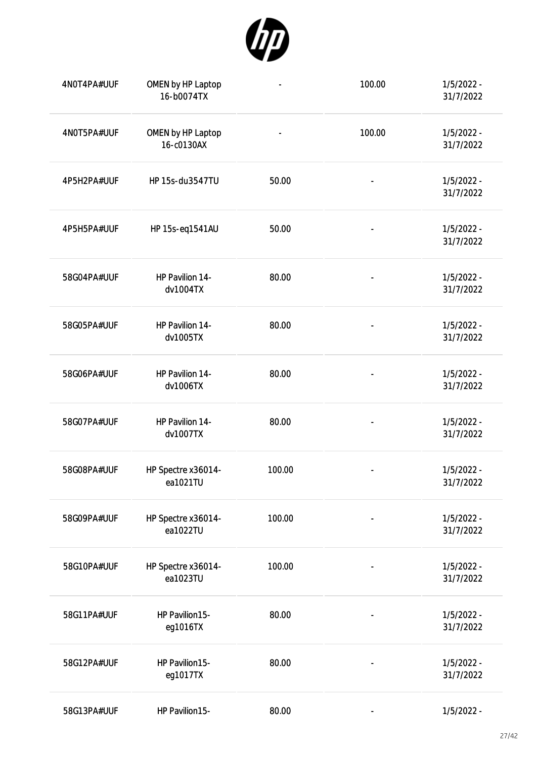

| 4N0T4PA#UUF | OMEN by HP Laptop<br>16-b0074TX | $\qquad \qquad \blacksquare$ | 100.00                       | 1/5/2022 -<br>31/7/2022   |
|-------------|---------------------------------|------------------------------|------------------------------|---------------------------|
| 4N0T5PA#UUF | OMEN by HP Laptop<br>16-c0130AX |                              | 100.00                       | $1/5/2022 -$<br>31/7/2022 |
| 4P5H2PA#UUF | HP 15s-du3547TU                 | 50.00                        | $\qquad \qquad \blacksquare$ | $1/5/2022 -$<br>31/7/2022 |
| 4P5H5PA#UUF | HP 15s-eq1541AU                 | 50.00                        | $\overline{\phantom{a}}$     | $1/5/2022 -$<br>31/7/2022 |
| 58G04PA#UUF | HP Pavilion 14-<br>dv1004TX     | 80.00                        |                              | $1/5/2022 -$<br>31/7/2022 |
| 58G05PA#UUF | HP Pavilion 14-<br>dv1005TX     | 80.00                        |                              | $1/5/2022 -$<br>31/7/2022 |
| 58G06PA#UUF | HP Pavilion 14-<br>dv1006TX     | 80.00                        |                              | $1/5/2022 -$<br>31/7/2022 |
| 58G07PA#UUF | HP Pavilion 14-<br>dv1007TX     | 80.00                        | $\overline{\phantom{a}}$     | $1/5/2022 -$<br>31/7/2022 |
| 58G08PA#UUF | HP Spectre x36014-<br>ea1021TU  | 100.00                       |                              | $1/5/2022 -$<br>31/7/2022 |
| 58G09PA#UUF | HP Spectre x36014-<br>ea1022TU  | 100.00                       | $\overline{\phantom{a}}$     | $1/5/2022 -$<br>31/7/2022 |
| 58G10PA#UUF | HP Spectre x36014-<br>ea1023TU  | 100.00                       | $\overline{\phantom{a}}$     | $1/5/2022 -$<br>31/7/2022 |
| 58G11PA#UUF | HP Pavilion15-<br>eg1016TX      | 80.00                        | $\overline{a}$               | $1/5/2022 -$<br>31/7/2022 |
| 58G12PA#UUF | HP Pavilion15-<br>eg1017TX      | 80.00                        | $\qquad \qquad \blacksquare$ | $1/5/2022 -$<br>31/7/2022 |
| 58G13PA#UUF | HP Pavilion15-                  | 80.00                        | $\overline{\phantom{a}}$     | 1/5/2022 -                |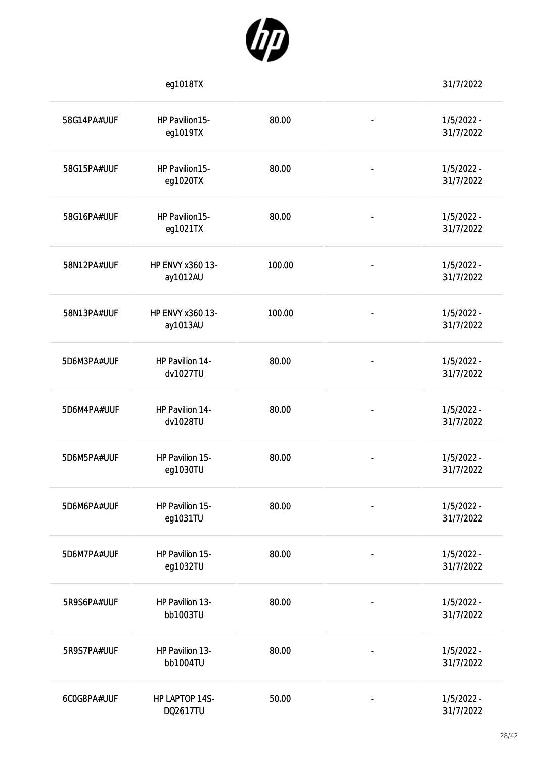

|             | eg1018TX                     |        |                              | 31/7/2022                 |
|-------------|------------------------------|--------|------------------------------|---------------------------|
| 58G14PA#UUF | HP Pavilion15-<br>eg1019TX   | 80.00  | $\blacksquare$               | $1/5/2022 -$<br>31/7/2022 |
| 58G15PA#UUF | HP Pavilion15-<br>eg1020TX   | 80.00  | $\blacksquare$               | $1/5/2022 -$<br>31/7/2022 |
| 58G16PA#UUF | HP Pavilion15-<br>eg1021TX   | 80.00  | $\blacksquare$               | $1/5/2022 -$<br>31/7/2022 |
| 58N12PA#UUF | HP ENVY x360 13-<br>ay1012AU | 100.00 | $\overline{\phantom{a}}$     | $1/5/2022 -$<br>31/7/2022 |
| 58N13PA#UUF | HP ENVY x360 13-<br>ay1013AU | 100.00 | $\blacksquare$               | $1/5/2022 -$<br>31/7/2022 |
| 5D6M3PA#UUF | HP Pavilion 14-<br>dv1027TU  | 80.00  | $\overline{\phantom{a}}$     | $1/5/2022 -$<br>31/7/2022 |
| 5D6M4PA#UUF | HP Pavilion 14-<br>dv1028TU  | 80.00  | $\overline{\phantom{a}}$     | $1/5/2022 -$<br>31/7/2022 |
| 5D6M5PA#UUF | HP Pavilion 15-<br>eg1030TU  | 80.00  |                              | $1/5/2022 -$<br>31/7/2022 |
| 5D6M6PA#UUF | HP Pavilion 15-<br>eg1031TU  | 80.00  |                              | $1/5/2022 -$<br>31/7/2022 |
| 5D6M7PA#UUF | HP Pavilion 15-<br>eg1032TU  | 80.00  | $\overline{\phantom{a}}$     | $1/5/2022 -$<br>31/7/2022 |
| 5R9S6PA#UUF | HP Pavilion 13-<br>bb1003TU  | 80.00  | $\overline{\phantom{a}}$     | $1/5/2022 -$<br>31/7/2022 |
| 5R9S7PA#UUF | HP Pavilion 13-<br>bb1004TU  | 80.00  | $\qquad \qquad \blacksquare$ | $1/5/2022 -$<br>31/7/2022 |
| 6COG8PA#UUF | HP LAPTOP 14S-<br>DQ2617TU   | 50.00  | $\overline{\phantom{a}}$     | $1/5/2022 -$<br>31/7/2022 |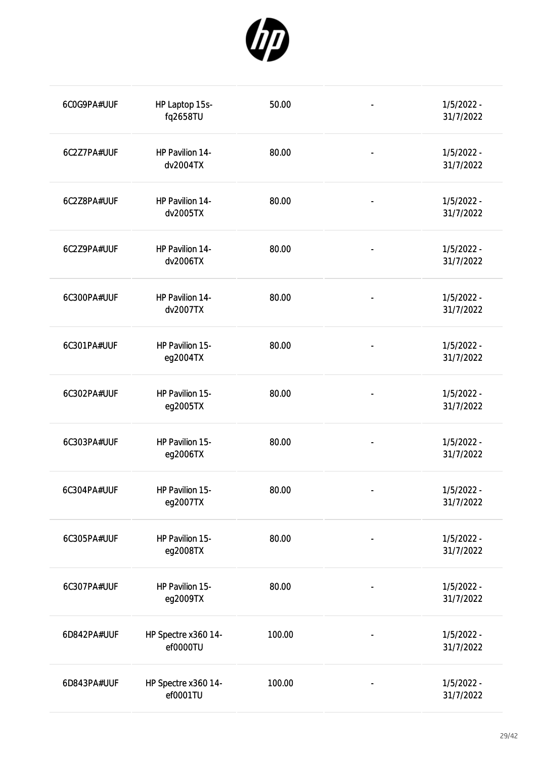

| 6COG9PA#UUF | HP Laptop 15s-<br>fq2658TU      | 50.00  | $\overline{\phantom{a}}$     | $1/5/2022 -$<br>31/7/2022 |
|-------------|---------------------------------|--------|------------------------------|---------------------------|
| 6C2Z7PA#UUF | HP Pavilion 14-<br>dv2004TX     | 80.00  | $\overline{\phantom{a}}$     | $1/5/2022 -$<br>31/7/2022 |
| 6C2Z8PA#UUF | HP Pavilion 14-<br>dv2005TX     | 80.00  | $\overline{\phantom{a}}$     | $1/5/2022 -$<br>31/7/2022 |
| 6C2Z9PA#UUF | HP Pavilion 14-<br>dv2006TX     | 80.00  | $\overline{a}$               | $1/5/2022 -$<br>31/7/2022 |
| 6C300PA#UUF | HP Pavilion 14-<br>dv2007TX     | 80.00  | $\overline{\phantom{a}}$     | $1/5/2022 -$<br>31/7/2022 |
| 6C301PA#UUF | HP Pavilion 15-<br>eg2004TX     | 80.00  | $\overline{\phantom{a}}$     | $1/5/2022 -$<br>31/7/2022 |
| 6C302PA#UUF | HP Pavilion 15-<br>eg2005TX     | 80.00  | $\overline{\phantom{a}}$     | $1/5/2022 -$<br>31/7/2022 |
| 6C303PA#UUF | HP Pavilion 15-<br>eg2006TX     | 80.00  | $\qquad \qquad \blacksquare$ | $1/5/2022 -$<br>31/7/2022 |
| 6C304PA#UUF | HP Pavilion 15-<br>eg2007TX     | 80.00  |                              | $1/5/2022 -$<br>31/7/2022 |
| 6C305PA#UUF | HP Pavilion 15-<br>eg2008TX     | 80.00  |                              | $1/5/2022 -$<br>31/7/2022 |
| 6C307PA#UUF | HP Pavilion 15-<br>eg2009TX     | 80.00  |                              | $1/5/2022 -$<br>31/7/2022 |
| 6D842PA#UUF | HP Spectre x360 14-<br>ef0000TU | 100.00 |                              | $1/5/2022 -$<br>31/7/2022 |
| 6D843PA#UUF | HP Spectre x360 14-<br>ef0001TU | 100.00 |                              | 1/5/2022 -<br>31/7/2022   |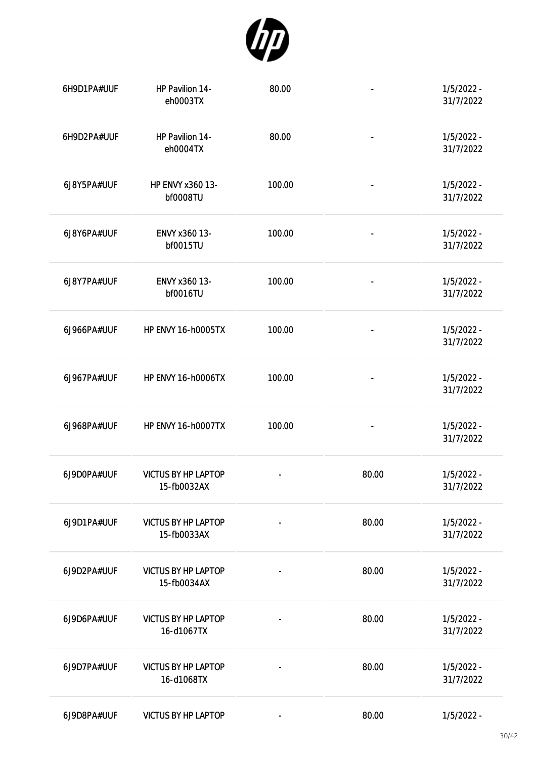

| 6H9D1PA#UUF | HP Pavilion 14-<br>eh0003TX               | 80.00                    | $\blacksquare$               | $1/5/2022 -$<br>31/7/2022 |
|-------------|-------------------------------------------|--------------------------|------------------------------|---------------------------|
| 6H9D2PA#UUF | HP Pavilion 14-<br>eh0004TX               | 80.00                    | $\overline{\phantom{a}}$     | $1/5/2022 -$<br>31/7/2022 |
| 6J8Y5PA#UUF | HP ENVY x360 13-<br><b>bf0008TU</b>       | 100.00                   | $\overline{\phantom{0}}$     | $1/5/2022 -$<br>31/7/2022 |
| 6J8Y6PA#UUF | ENVY x360 13-<br>bf0015TU                 | 100.00                   | $\overline{\phantom{a}}$     | $1/5/2022 -$<br>31/7/2022 |
| 6J8Y7PA#UUF | ENVY x360 13-<br>bf0016TU                 | 100.00                   | $\qquad \qquad \blacksquare$ | $1/5/2022 -$<br>31/7/2022 |
| 6J966PA#UUF | <b>HP ENVY 16-h0005TX</b>                 | 100.00                   | $\qquad \qquad \blacksquare$ | $1/5/2022 -$<br>31/7/2022 |
| 6J967PA#UUF | <b>HP ENVY 16-h0006TX</b>                 | 100.00                   |                              | $1/5/2022 -$<br>31/7/2022 |
| 6J968PA#UUF | <b>HP ENVY 16-h0007TX</b>                 | 100.00                   | $\overline{\phantom{a}}$     | $1/5/2022 -$<br>31/7/2022 |
| 6J9D0PA#UUF | <b>VICTUS BY HP LAPTOP</b><br>15-fb0032AX |                          | 80.00                        | $1/5/2022 -$<br>31/7/2022 |
| 6J9D1PA#UUF | <b>VICTUS BY HP LAPTOP</b><br>15-fb0033AX |                          | 80.00                        | $1/5/2022 -$<br>31/7/2022 |
| 6J9D2PA#UUF | <b>VICTUS BY HP LAPTOP</b><br>15-fb0034AX | $\overline{\phantom{0}}$ | 80.00                        | $1/5/2022 -$<br>31/7/2022 |
| 6J9D6PA#UUF | <b>VICTUS BY HP LAPTOP</b><br>16-d1067TX  | $\overline{\phantom{a}}$ | 80.00                        | $1/5/2022 -$<br>31/7/2022 |
| 6J9D7PA#UUF | <b>VICTUS BY HP LAPTOP</b><br>16-d1068TX  | $\overline{\phantom{0}}$ | 80.00                        | $1/5/2022 -$<br>31/7/2022 |
| 6J9D8PA#UUF | <b>VICTUS BY HP LAPTOP</b>                |                          | 80.00                        | $1/5/2022 -$              |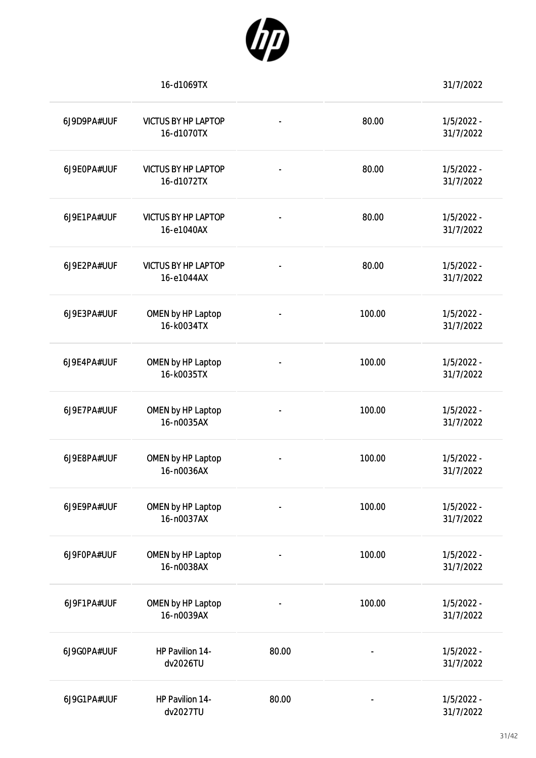

|             | 16-d1069TX                               |       |                          | 31/7/2022                 |
|-------------|------------------------------------------|-------|--------------------------|---------------------------|
| 6J9D9PA#UUF | <b>VICTUS BY HP LAPTOP</b><br>16-d1070TX |       | 80.00                    | $1/5/2022 -$<br>31/7/2022 |
| 6J9E0PA#UUF | <b>VICTUS BY HP LAPTOP</b><br>16-d1072TX |       | 80.00                    | $1/5/2022 -$<br>31/7/2022 |
| 6J9E1PA#UUF | <b>VICTUS BY HP LAPTOP</b><br>16-e1040AX |       | 80.00                    | $1/5/2022 -$<br>31/7/2022 |
| 6J9E2PA#UUF | <b>VICTUS BY HP LAPTOP</b><br>16-e1044AX |       | 80.00                    | $1/5/2022 -$<br>31/7/2022 |
| 6J9E3PA#UUF | OMEN by HP Laptop<br>16-k0034TX          |       | 100.00                   | $1/5/2022 -$<br>31/7/2022 |
| 6J9E4PA#UUF | OMEN by HP Laptop<br>16-k0035TX          |       | 100.00                   | $1/5/2022 -$<br>31/7/2022 |
| 6J9E7PA#UUF | OMEN by HP Laptop<br>16-n0035AX          |       | 100.00                   | $1/5/2022 -$<br>31/7/2022 |
| 6J9E8PA#UUF | OMEN by HP Laptop<br>16-n0036AX          |       | 100.00                   | $1/5/2022 -$<br>31/7/2022 |
| 6J9E9PA#UUF | OMEN by HP Laptop<br>16-n0037AX          |       | 100.00                   | $1/5/2022 -$<br>31/7/2022 |
| 6J9F0PA#UUF | OMEN by HP Laptop<br>16-n0038AX          |       | 100.00                   | $1/5/2022 -$<br>31/7/2022 |
| 6J9F1PA#UUF | OMEN by HP Laptop<br>16-n0039AX          |       | 100.00                   | $1/5/2022 -$<br>31/7/2022 |
| 6J9G0PA#UUF | HP Pavilion 14-<br>dv2026TU              | 80.00 | $\overline{\phantom{0}}$ | $1/5/2022 -$<br>31/7/2022 |
| 6J9G1PA#UUF | HP Pavilion 14-<br>dv2027TU              | 80.00 |                          | $1/5/2022 -$<br>31/7/2022 |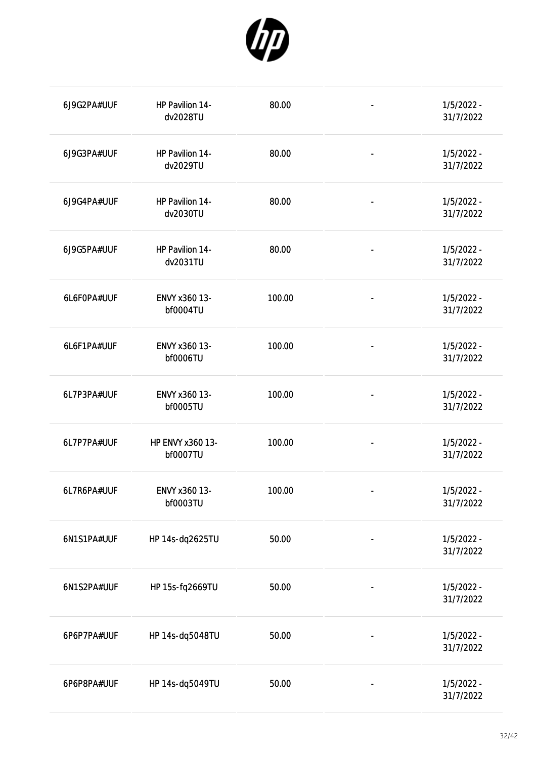

| 6J9G2PA#UUF | HP Pavilion 14-<br>dv2028TU  | 80.00  | $\qquad \qquad \blacksquare$ | $1/5/2022 -$<br>31/7/2022 |
|-------------|------------------------------|--------|------------------------------|---------------------------|
| 6J9G3PA#UUF | HP Pavilion 14-<br>dv2029TU  | 80.00  | $\blacksquare$               | $1/5/2022 -$<br>31/7/2022 |
| 6J9G4PA#UUF | HP Pavilion 14-<br>dv2030TU  | 80.00  | $\qquad \qquad \blacksquare$ | $1/5/2022 -$<br>31/7/2022 |
| 6J9G5PA#UUF | HP Pavilion 14-<br>dv2031TU  | 80.00  | $\overline{\phantom{a}}$     | $1/5/2022 -$<br>31/7/2022 |
| 6L6F0PA#UUF | ENVY x360 13-<br>bf0004TU    | 100.00 | $\qquad \qquad \blacksquare$ | $1/5/2022 -$<br>31/7/2022 |
| 6L6F1PA#UUF | ENVY x360 13-<br>bf0006TU    | 100.00 | $\overline{\phantom{a}}$     | $1/5/2022 -$<br>31/7/2022 |
| 6L7P3PA#UUF | ENVY x360 13-<br>bf0005TU    | 100.00 | $\overline{\phantom{a}}$     | $1/5/2022 -$<br>31/7/2022 |
| 6L7P7PA#UUF | HP ENVY x360 13-<br>bf0007TU | 100.00 | $\overline{\phantom{a}}$     | $1/5/2022 -$<br>31/7/2022 |
| 6L7R6PA#UUF | ENVY x360 13-<br>bf0003TU    | 100.00 |                              | 1/5/2022 -<br>31/7/2022   |
| 6N1S1PA#UUF | HP 14s-dq2625TU              | 50.00  |                              | 1/5/2022 -<br>31/7/2022   |
| 6N1S2PA#UUF | HP 15s-fq2669TU              | 50.00  |                              | 1/5/2022 -<br>31/7/2022   |
| 6P6P7PA#UUF | HP 14s-dq5048TU              | 50.00  |                              | 1/5/2022 -<br>31/7/2022   |
| 6P6P8PA#UUF | HP 14s-dq5049TU              | 50.00  |                              | $1/5/2022 -$<br>31/7/2022 |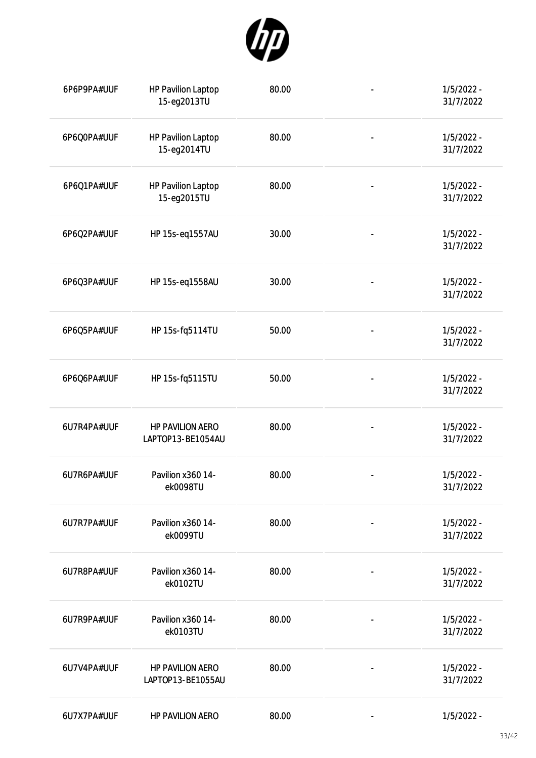

| 6P6P9PA#UUF | <b>HP Pavilion Laptop</b><br>15-eg2013TU     | 80.00 | $\overline{\phantom{0}}$     | $1/5/2022 -$<br>31/7/2022 |
|-------------|----------------------------------------------|-------|------------------------------|---------------------------|
| 6P6Q0PA#UUF | <b>HP Pavilion Laptop</b><br>15-eg2014TU     | 80.00 | $\overline{\phantom{0}}$     | $1/5/2022 -$<br>31/7/2022 |
| 6P6Q1PA#UUF | <b>HP Pavilion Laptop</b><br>15-eg2015TU     | 80.00 | $\overline{\phantom{0}}$     | $1/5/2022 -$<br>31/7/2022 |
| 6P6Q2PA#UUF | HP 15s-eq1557AU                              | 30.00 |                              | $1/5/2022 -$<br>31/7/2022 |
| 6P6Q3PA#UUF | HP 15s-eq1558AU                              | 30.00 | $\overline{\phantom{0}}$     | $1/5/2022 -$<br>31/7/2022 |
| 6P6Q5PA#UUF | HP 15s-fq5114TU                              | 50.00 |                              | $1/5/2022 -$<br>31/7/2022 |
| 6P6Q6PA#UUF | HP 15s-fq5115TU                              | 50.00 |                              | $1/5/2022 -$<br>31/7/2022 |
| 6U7R4PA#UUF | <b>HP PAVILION AERO</b><br>LAPTOP13-BE1054AU | 80.00 |                              | $1/5/2022 -$<br>31/7/2022 |
| 6U7R6PA#UUF | Pavilion x360 14-<br>ek0098TU                | 80.00 |                              | $1/5/2022 -$<br>31/7/2022 |
| 6U7R7PA#UUF | Pavilion x360 14-<br>ek0099TU                | 80.00 | $\qquad \qquad \blacksquare$ | $1/5/2022 -$<br>31/7/2022 |
| 6U7R8PA#UUF | Pavilion x360 14-<br>ek0102TU                | 80.00 |                              | $1/5/2022 -$<br>31/7/2022 |
| 6U7R9PA#UUF | Pavilion x360 14-<br>ek0103TU                | 80.00 | $\qquad \qquad \blacksquare$ | $1/5/2022 -$<br>31/7/2022 |
| 6U7V4PA#UUF | HP PAVILION AERO<br>LAPTOP13-BE1055AU        | 80.00 | $\qquad \qquad \blacksquare$ | $1/5/2022 -$<br>31/7/2022 |
| 6U7X7PA#UUF | <b>HP PAVILION AERO</b>                      | 80.00 | -                            | $1/5/2022 -$              |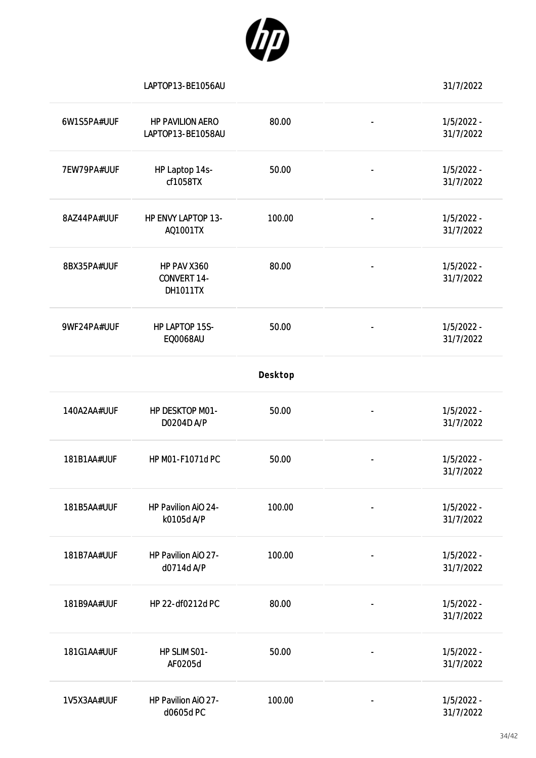

|             | LAPTOP13-BE1056AU                                    |         |                          | 31/7/2022                 |
|-------------|------------------------------------------------------|---------|--------------------------|---------------------------|
| 6W1S5PA#UUF | <b>HP PAVILION AERO</b><br>LAPTOP13-BE1058AU         | 80.00   |                          | $1/5/2022 -$<br>31/7/2022 |
| 7EW79PA#UUF | HP Laptop 14s-<br>cf1058TX                           | 50.00   |                          | $1/5/2022 -$<br>31/7/2022 |
| 8AZ44PA#UUF | HP ENVY LAPTOP 13-<br>AQ1001TX                       | 100.00  |                          | $1/5/2022 -$<br>31/7/2022 |
| 8BX35PA#UUF | HP PAV X360<br><b>CONVERT 14-</b><br><b>DH1011TX</b> | 80.00   | $\overline{\phantom{a}}$ | $1/5/2022 -$<br>31/7/2022 |
| 9WF24PA#UUF | HP LAPTOP 15S-<br><b>EQ0068AU</b>                    | 50.00   |                          | $1/5/2022 -$<br>31/7/2022 |
|             |                                                      | Desktop |                          |                           |
| 140A2AA#UUF | HP DESKTOP M01-<br>D0204D A/P                        | 50.00   |                          | $1/5/2022 -$<br>31/7/2022 |
| 181B1AA#UUF | HP M01-F1071d PC                                     | 50.00   |                          | $1/5/2022 -$<br>31/7/2022 |
| 181B5AA#UUF | HP Pavilion AiO 24-<br>k0105d A/P                    | 100.00  |                          | $1/5/2022 -$<br>31/7/2022 |
| 181B7AA#UUF | HP Pavilion AiO 27-<br>d0714d A/P                    | 100.00  |                          | $1/5/2022 -$<br>31/7/2022 |
| 181B9AA#UUF | HP 22-df0212d PC                                     | 80.00   |                          | $1/5/2022 -$<br>31/7/2022 |
| 181G1AA#UUF | HP SLIM SO1-<br>AF0205d                              | 50.00   |                          | $1/5/2022 -$<br>31/7/2022 |
| 1V5X3AA#UUF | HP Pavilion AiO 27-<br>d0605d PC                     | 100.00  |                          | $1/5/2022 -$<br>31/7/2022 |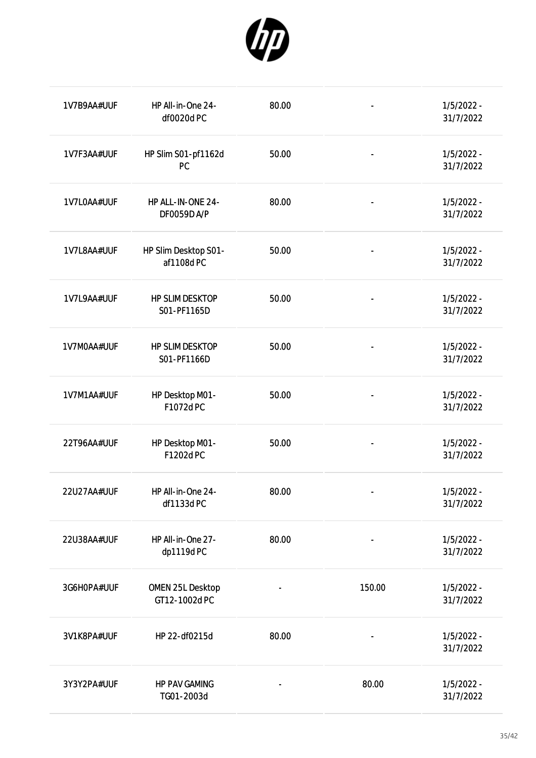

| 1V7B9AA#UUF | HP All-in-One 24-<br>df0020d PC         | 80.00 |                              | $1/5/2022 -$<br>31/7/2022 |
|-------------|-----------------------------------------|-------|------------------------------|---------------------------|
| 1V7F3AA#UUF | HP Slim S01-pf1162d<br><b>PC</b>        | 50.00 | $\blacksquare$               | $1/5/2022 -$<br>31/7/2022 |
| 1V7L0AA#UUF | HP ALL-IN-ONE 24-<br><b>DF0059D A/P</b> | 80.00 | $\overline{a}$               | $1/5/2022 -$<br>31/7/2022 |
| 1V7L8AA#UUF | HP Slim Desktop S01-<br>af1108d PC      | 50.00 | $\qquad \qquad \blacksquare$ | $1/5/2022 -$<br>31/7/2022 |
| 1V7L9AA#UUF | <b>HP SLIM DESKTOP</b><br>S01-PF1165D   | 50.00 | $\qquad \qquad \blacksquare$ | $1/5/2022 -$<br>31/7/2022 |
| 1V7M0AA#UUF | <b>HP SLIM DESKTOP</b><br>S01-PF1166D   | 50.00 | $\qquad \qquad \blacksquare$ | $1/5/2022 -$<br>31/7/2022 |
| 1V7M1AA#UUF | HP Desktop M01-<br>F1072d PC            | 50.00 | $\qquad \qquad \blacksquare$ | $1/5/2022 -$<br>31/7/2022 |
| 22T96AA#UUF | HP Desktop M01-<br>F1202d PC            | 50.00 | $\overline{\phantom{a}}$     | $1/5/2022 -$<br>31/7/2022 |
| 22U27AA#UUF | HP All-in-One 24-<br>df1133d PC         | 80.00 |                              | $1/5/2022 -$<br>31/7/2022 |
| 22U38AA#UUF | HP All-in-One 27-<br>dp1119d PC         | 80.00 |                              | $1/5/2022 -$<br>31/7/2022 |
| 3G6H0PA#UUF | OMEN 25L Desktop<br>GT12-1002d PC       |       | 150.00                       | $1/5/2022 -$<br>31/7/2022 |
| 3V1K8PA#UUF | HP 22-df0215d                           | 80.00 |                              | $1/5/2022 -$<br>31/7/2022 |
| 3Y3Y2PA#UUF | <b>HP PAV GAMING</b><br>TG01-2003d      |       | 80.00                        | $1/5/2022 -$<br>31/7/2022 |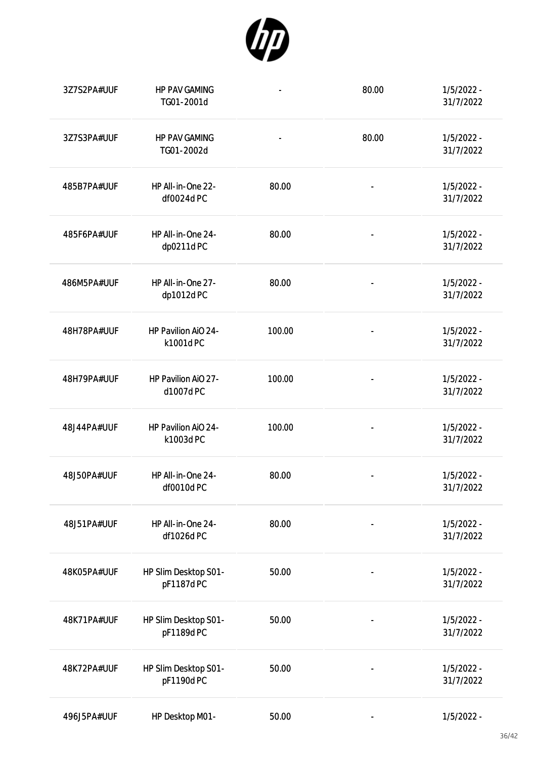

| 3Z7S2PA#UUF | <b>HP PAV GAMING</b><br>TG01-2001d | $\qquad \qquad \blacksquare$ | 80.00                    | $1/5/2022 -$<br>31/7/2022 |
|-------------|------------------------------------|------------------------------|--------------------------|---------------------------|
| 3Z7S3PA#UUF | <b>HP PAV GAMING</b><br>TG01-2002d | $\overline{\phantom{a}}$     | 80.00                    | $1/5/2022 -$<br>31/7/2022 |
| 485B7PA#UUF | HP All-in-One 22-<br>df0024d PC    | 80.00                        | $\overline{\phantom{0}}$ | $1/5/2022 -$<br>31/7/2022 |
| 485F6PA#UUF | HP All-in-One 24-<br>dp0211d PC    | 80.00                        | $\overline{\phantom{0}}$ | $1/5/2022 -$<br>31/7/2022 |
| 486M5PA#UUF | HP All-in-One 27-<br>dp1012d PC    | 80.00                        | $\overline{a}$           | $1/5/2022 -$<br>31/7/2022 |
| 48H78PA#UUF | HP Pavilion AiO 24-<br>k1001d PC   | 100.00                       |                          | $1/5/2022 -$<br>31/7/2022 |
| 48H79PA#UUF | HP Pavilion AiO 27-<br>d1007d PC   | 100.00                       |                          | $1/5/2022 -$<br>31/7/2022 |
| 48J44PA#UUF | HP Pavilion AiO 24-<br>k1003d PC   | 100.00                       |                          | $1/5/2022 -$<br>31/7/2022 |
| 48J50PA#UUF | HP All-in-One 24-<br>df0010d PC    | 80.00                        |                          | $1/5/2022 -$<br>31/7/2022 |
| 48J51PA#UUF | HP All-in-One 24-<br>df1026d PC    | 80.00                        |                          | $1/5/2022 -$<br>31/7/2022 |
| 48K05PA#UUF | HP Slim Desktop S01-<br>pF1187d PC | 50.00                        |                          | $1/5/2022 -$<br>31/7/2022 |
| 48K71PA#UUF | HP Slim Desktop S01-<br>pF1189d PC | 50.00                        |                          | $1/5/2022 -$<br>31/7/2022 |
| 48K72PA#UUF | HP Slim Desktop S01-<br>pF1190d PC | 50.00                        | $\overline{\phantom{a}}$ | $1/5/2022 -$<br>31/7/2022 |
| 496J5PA#UUF | HP Desktop M01-                    | 50.00                        |                          | $1/5/2022 -$              |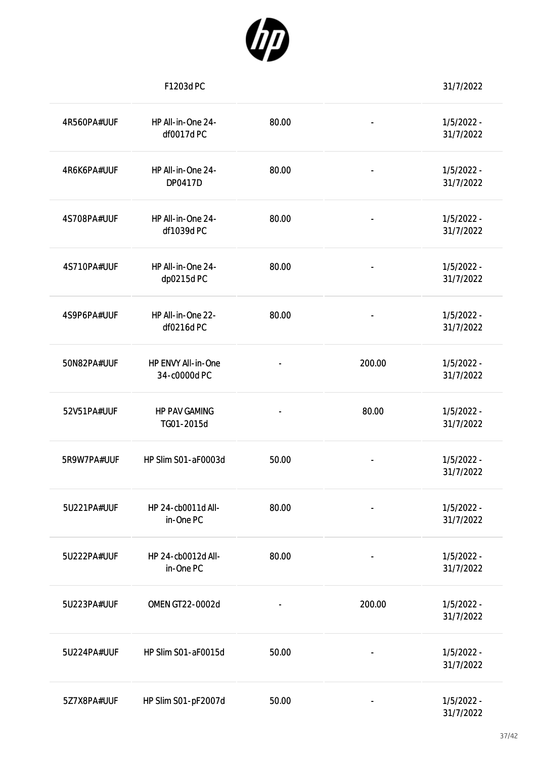

|             | F1203d PC                          |       |                              | 31/7/2022                 |
|-------------|------------------------------------|-------|------------------------------|---------------------------|
| 4R560PA#UUF | HP All-in-One 24-<br>df0017d PC    | 80.00 | $\overline{\phantom{a}}$     | $1/5/2022 -$<br>31/7/2022 |
| 4R6K6PA#UUF | HP All-in-One 24-<br>DP0417D       | 80.00 | $\blacksquare$               | $1/5/2022 -$<br>31/7/2022 |
| 4S708PA#UUF | HP All-in-One 24-<br>df1039d PC    | 80.00 | $\qquad \qquad \blacksquare$ | $1/5/2022 -$<br>31/7/2022 |
| 4S710PA#UUF | HP All-in-One 24-<br>dp0215d PC    | 80.00 | $\blacksquare$               | $1/5/2022 -$<br>31/7/2022 |
| 4S9P6PA#UUF | HP All-in-One 22-<br>df0216d PC    | 80.00 | $\blacksquare$               | $1/5/2022 -$<br>31/7/2022 |
| 50N82PA#UUF | HP ENVY All-in-One<br>34-c0000d PC |       | 200.00                       | $1/5/2022 -$<br>31/7/2022 |
| 52V51PA#UUF | <b>HP PAV GAMING</b><br>TG01-2015d |       | 80.00                        | $1/5/2022 -$<br>31/7/2022 |
| 5R9W7PA#UUF | HP Slim S01-aF0003d                | 50.00 |                              | $1/5/2022 -$<br>31/7/2022 |
| 5U221PA#UUF | HP 24-cb0011d All-<br>in-One PC    | 80.00 |                              | $1/5/2022 -$<br>31/7/2022 |
| 5U222PA#UUF | HP 24-cb0012d All-<br>in-One PC    | 80.00 |                              | $1/5/2022 -$<br>31/7/2022 |
| 5U223PA#UUF | OMEN GT22-0002d                    |       | 200.00                       | $1/5/2022 -$<br>31/7/2022 |
| 5U224PA#UUF | HP Slim S01-aF0015d                | 50.00 | $\blacksquare$               | $1/5/2022 -$<br>31/7/2022 |
| 5Z7X8PA#UUF | HP Slim S01-pF2007d                | 50.00 | $\overline{\phantom{a}}$     | $1/5/2022 -$<br>31/7/2022 |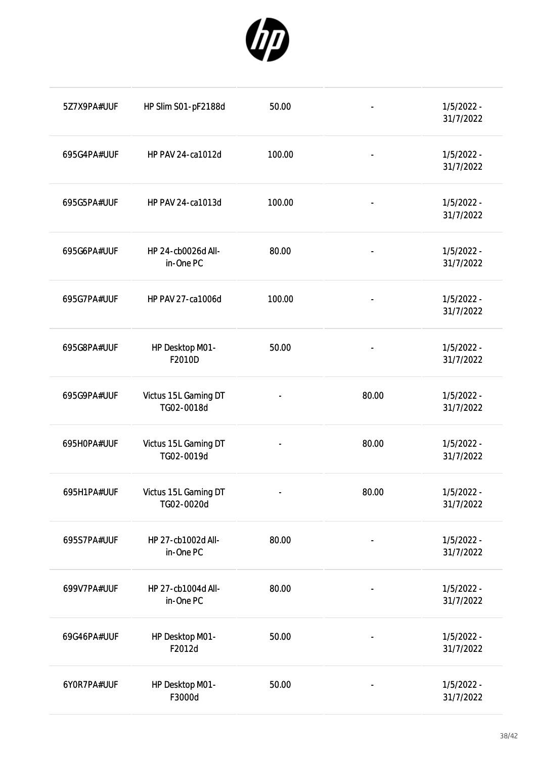

| 5Z7X9PA#UUF | HP Slim S01-pF2188d                | 50.00  |                              | $1/5/2022 -$<br>31/7/2022 |
|-------------|------------------------------------|--------|------------------------------|---------------------------|
| 695G4PA#UUF | HP PAV 24-ca1012d                  | 100.00 | $\overline{\phantom{0}}$     | $1/5/2022 -$<br>31/7/2022 |
| 695G5PA#UUF | HP PAV 24-ca1013d                  | 100.00 | $\overline{\phantom{0}}$     | $1/5/2022 -$<br>31/7/2022 |
| 695G6PA#UUF | HP 24-cb0026d All-<br>in-One PC    | 80.00  | $\overline{\phantom{0}}$     | $1/5/2022 -$<br>31/7/2022 |
| 695G7PA#UUF | HP PAV 27-ca1006d                  | 100.00 | $\qquad \qquad \blacksquare$ | $1/5/2022 -$<br>31/7/2022 |
| 695G8PA#UUF | HP Desktop M01-<br>F2010D          | 50.00  | $\overline{\phantom{0}}$     | $1/5/2022 -$<br>31/7/2022 |
| 695G9PA#UUF | Victus 15L Gaming DT<br>TG02-0018d |        | 80.00                        | $1/5/2022 -$<br>31/7/2022 |
| 695H0PA#UUF | Victus 15L Gaming DT<br>TG02-0019d |        | 80.00                        | $1/5/2022 -$<br>31/7/2022 |
| 695H1PA#UUF | Victus 15L Gaming DT<br>TG02-0020d |        | 80.00                        | $1/5/2022 -$<br>31/7/2022 |
| 695S7PA#UUF | HP 27-cb1002d All-<br>in-One PC    | 80.00  |                              | $1/5/2022 -$<br>31/7/2022 |
| 699V7PA#UUF | HP 27-cb1004d All-<br>in-One PC    | 80.00  |                              | $1/5/2022 -$<br>31/7/2022 |
| 69G46PA#UUF | HP Desktop M01-<br>F2012d          | 50.00  |                              | $1/5/2022 -$<br>31/7/2022 |
| 6YOR7PA#UUF | HP Desktop M01-<br>F3000d          | 50.00  |                              | 1/5/2022 -<br>31/7/2022   |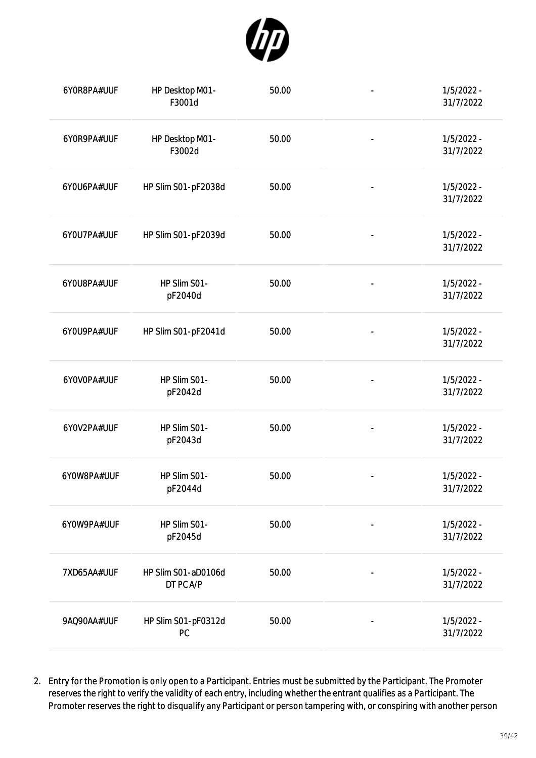

| 6Y0R8PA#UUF | HP Desktop M01-<br>F3001d        | 50.00 |                          | $1/5/2022 -$<br>31/7/2022 |
|-------------|----------------------------------|-------|--------------------------|---------------------------|
| 6Y0R9PA#UUF | HP Desktop M01-<br>F3002d        | 50.00 | $\overline{a}$           | $1/5/2022 -$<br>31/7/2022 |
| 6YOU6PA#UUF | HP Slim S01-pF2038d              | 50.00 | $\blacksquare$           | $1/5/2022 -$<br>31/7/2022 |
| 6YOU7PA#UUF | HP Slim S01-pF2039d              | 50.00 | $\overline{\phantom{0}}$ | $1/5/2022 -$<br>31/7/2022 |
| 6YOU8PA#UUF | HP Slim S01-<br>pF2040d          | 50.00 | $\overline{\phantom{0}}$ | $1/5/2022 -$<br>31/7/2022 |
| 6YOU9PA#UUF | HP Slim S01-pF2041d              | 50.00 | $\overline{\phantom{0}}$ | $1/5/2022 -$<br>31/7/2022 |
| 6YOVOPA#UUF | HP Slim S01-<br>pF2042d          | 50.00 | $\overline{a}$           | $1/5/2022 -$<br>31/7/2022 |
| 6Y0V2PA#UUF | HP Slim S01-<br>pF2043d          | 50.00 |                          | $1/5/2022 -$<br>31/7/2022 |
| 6Y0W8PA#UUF | HP Slim S01-<br>pF2044d          | 50.00 |                          | $1/5/2022 -$<br>31/7/2022 |
| 6Y0W9PA#UUF | HP Slim S01-<br>pF2045d          | 50.00 |                          | $1/5/2022 -$<br>31/7/2022 |
| 7XD65AA#UUF | HP Slim S01-aD0106d<br>DT PC A/P | 50.00 |                          | $1/5/2022 -$<br>31/7/2022 |
| 9AQ90AA#UUF | HP Slim S01-pF0312d<br>PC        | 50.00 |                          | $1/5/2022 -$<br>31/7/2022 |

2. Entry for the Promotion is only open to a Participant. Entries must be submitted by the Participant. The Promoter reserves the right to verify the validity of each entry, including whether the entrant qualifies as a Participant. The Promoter reserves the right to disqualify any Participant or person tampering with, or conspiring with another person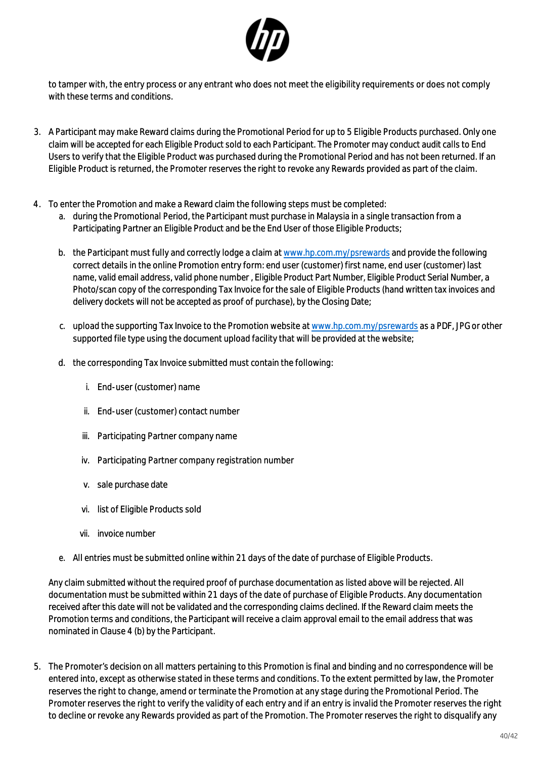

to tamper with, the entry process or any entrant who does not meet the eligibility requirements or does not comply with these terms and conditions.

- 3. A Participant may make Reward claims during the Promotional Period for up to 5 Eligible Products purchased. Only one claim will be accepted for each Eligible Product sold to each Participant. The Promoter may conduct audit calls to End Users to verify that the Eligible Product was purchased during the Promotional Period and has not been returned. If an Eligible Product is returned, the Promoter reserves the right to revoke any Rewards provided as part of the claim.
- 4. To enter the Promotion and make a Reward claim the following steps must be completed:
	- a. during the Promotional Period, the Participant must purchase in Malaysia in a single transaction from a Participating Partner an Eligible Product and be the End User of those Eligible Products;
	- b. the Participant must fully and correctly lodge a claim at [www.hp.com.my/psrewards](http://www.hp.com.my/psrewards) and provide the following correct details in the online Promotion entry form: end user (customer) first name, end user (customer) last name, valid email address, valid phone number , Eligible Product Part Number, Eligible Product Serial Number, a Photo/scan copy of the corresponding Tax Invoice for the sale of Eligible Products (hand written tax invoices and delivery dockets will not be accepted as proof of purchase), by the Closing Date;
	- c. upload the supporting Tax Invoice to the Promotion website at [www.hp.com.my/psrewards](http://www.hp.com.my/psrewards) as a PDF, JPG or other supported file type using the document upload facility that will be provided at the website;
	- d. the corresponding Tax Invoice submitted must contain the following:
		- i. End-user (customer) name
		- ii. End-user (customer) contact number
		- iii. Participating Partner company name
		- iv. Participating Partner company registration number
		- v. sale purchase date
		- vi. list of Eligible Products sold
		- vii. invoice number
	- e. All entries must be submitted online within 21 days of the date of purchase of Eligible Products.

Any claim submitted without the required proof of purchase documentation as listed above will be rejected. All documentation must be submitted within 21 days of the date of purchase of Eligible Products. Any documentation received after this date will not be validated and the corresponding claims declined. If the Reward claim meets the Promotion terms and conditions, the Participant will receive a claim approval email to the email address that was nominated in Clause 4 (b) by the Participant.

5. The Promoter's decision on all matters pertaining to this Promotion is final and binding and no correspondence will be entered into, except as otherwise stated in these terms and conditions. To the extent permitted by law, the Promoter reserves the right to change, amend or terminate the Promotion at any stage during the Promotional Period. The Promoter reserves the right to verify the validity of each entry and if an entry is invalid the Promoter reserves the right to decline or revoke any Rewards provided as part of the Promotion. The Promoter reserves the right to disqualify any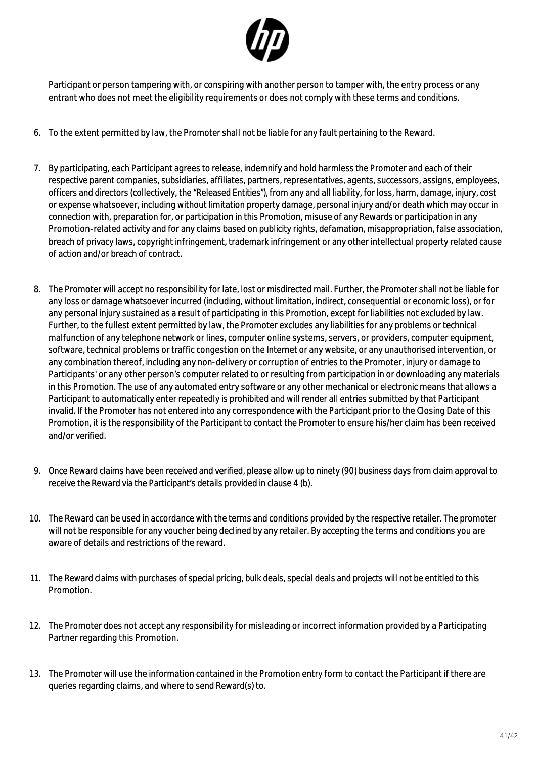

Participant or person tampering with, or conspiring with another person to tamper with, the entry process or any entrant who does not meet the eligibility requirements or does not comply with these terms and conditions.

- 6. To the extent permitted by law, the Promoter shall not be liable for any fault pertaining to the Reward.
- 7. By participating, each Participant agrees to release, indemnify and hold harmless the Promoter and each of their respective parent companies, subsidiaries, affiliates, partners, representatives, agents, successors, assigns, employees, officers and directors (collectively, the "Released Entities"), from any and all liability, for loss, harm, damage, injury, cost or expense whatsoever, including without limitation property damage, personal injury and/or death which may occur in connection with, preparation for, or participation in this Promotion, misuse of any Rewards or participation in any Promotion-related activity and for any claims based on publicity rights, defamation, misappropriation, false association, breach of privacy laws, copyright infringement, trademark infringement or any other intellectual property related cause of action and/or breach of contract.
- 8. The Promoter will accept no responsibility for late, lost or misdirected mail. Further, the Promoter shall not be liable for any loss or damage whatsoever incurred (including, without limitation, indirect, consequential or economic loss), or for any personal injury sustained as a result of participating in this Promotion, except for liabilities not excluded by law. Further, to the fullest extent permitted by law, the Promoter excludes any liabilities for any problems or technical malfunction of any telephone network or lines, computer online systems, servers, or providers, computer equipment, software, technical problems or traffic congestion on the Internet or any website, or any unauthorised intervention, or any combination thereof, including any non-delivery or corruption of entries to the Promoter, injury or damage to Participants' or any other person's computer related to or resulting from participation in or downloading any materials in this Promotion. The use of any automated entry software or any other mechanical or electronic means that allows a Participant to automatically enter repeatedly is prohibited and will render all entries submitted by that Participant invalid. If the Promoter has not entered into any correspondence with the Participant prior to the Closing Date of this Promotion, it is the responsibility of the Participant to contact the Promoter to ensure his/her claim has been received and/or verified.
- 9. Once Reward claims have been received and verified, please allow up to ninety (90) business days from claim approval to receive the Reward via the Participant's details provided in clause 4 (b).
- 10. The Reward can be used in accordance with the terms and conditions provided by the respective retailer. The promoter will not be responsible for any voucher being declined by any retailer. By accepting the terms and conditions you are aware of details and restrictions of the reward.
- 11. The Reward claims with purchases of special pricing, bulk deals, special deals and projects will not be entitled to this Promotion.
- 12. The Promoter does not accept any responsibility for misleading or incorrect information provided by a Participating Partner regarding this Promotion.
- 13. The Promoter will use the information contained in the Promotion entry form to contact the Participant if there are queries regarding claims, and where to send Reward(s) to.